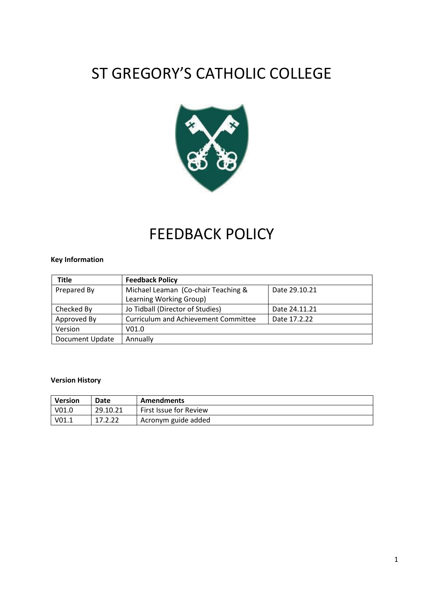# ST GREGORY'S CATHOLIC COLLEGE



# FEEDBACK POLICY

### **Key Information**

| <b>Title</b>           | <b>Feedback Policy</b>                               |               |  |
|------------------------|------------------------------------------------------|---------------|--|
| Prepared By            | Michael Leaman (Co-chair Teaching &<br>Date 29.10.21 |               |  |
|                        | Learning Working Group)                              |               |  |
| Checked By             | Jo Tidball (Director of Studies)                     | Date 24.11.21 |  |
| Approved By            | Curriculum and Achievement Committee                 | Date 17.2.22  |  |
| Version                | V <sub>01.0</sub>                                    |               |  |
| <b>Document Update</b> | Annually                                             |               |  |

### **Version History**

| <b>Version</b>    | Date     | <b>Amendments</b>      |
|-------------------|----------|------------------------|
| V <sub>01.0</sub> | 29.10.21 | First Issue for Review |
| V <sub>01.1</sub> | 17.2.22  | Acronym guide added    |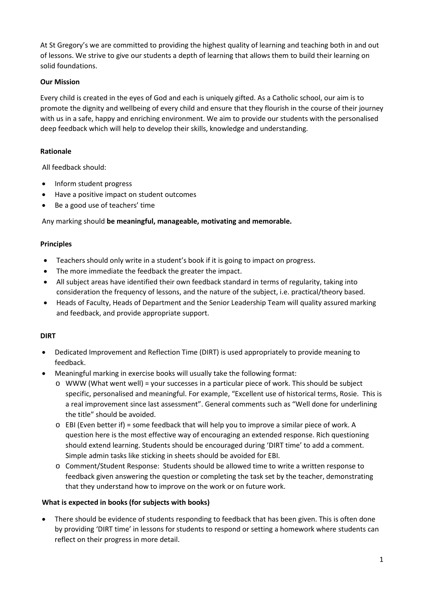At St Gregory's we are committed to providing the highest quality of learning and teaching both in and out of lessons. We strive to give our students a depth of learning that allows them to build their learning on solid foundations.

### **Our Mission**

Every child is created in the eyes of God and each is uniquely gifted. As a Catholic school, our aim is to promote the dignity and wellbeing of every child and ensure that they flourish in the course of their journey with us in a safe, happy and enriching environment. We aim to provide our students with the personalised deep feedback which will help to develop their skills, knowledge and understanding.

### **Rationale**

All feedback should:

- Inform student progress
- Have a positive impact on student outcomes
- Be a good use of teachers' time

Any marking should **be meaningful, manageable, motivating and memorable.** 

### **Principles**

- Teachers should only write in a student's book if it is going to impact on progress.
- The more immediate the feedback the greater the impact.
- All subject areas have identified their own feedback standard in terms of regularity, taking into consideration the frequency of lessons, and the nature of the subject, i.e. practical/theory based.
- Heads of Faculty, Heads of Department and the Senior Leadership Team will quality assured marking and feedback, and provide appropriate support.

### **DIRT**

- Dedicated Improvement and Reflection Time (DIRT) is used appropriately to provide meaning to feedback.
- Meaningful marking in exercise books will usually take the following format:
	- o WWW (What went well) = your successes in a particular piece of work. This should be subject specific, personalised and meaningful. For example, "Excellent use of historical terms, Rosie. This is a real improvement since last assessment". General comments such as "Well done for underlining the title" should be avoided.
	- $\circ$  EBI (Even better if) = some feedback that will help you to improve a similar piece of work. A question here is the most effective way of encouraging an extended response. Rich questioning should extend learning. Students should be encouraged during 'DIRT time' to add a comment. Simple admin tasks like sticking in sheets should be avoided for EBI.
	- o Comment/Student Response: Students should be allowed time to write a written response to feedback given answering the question or completing the task set by the teacher, demonstrating that they understand how to improve on the work or on future work.

### **What is expected in books (for subjects with books)**

• There should be evidence of students responding to feedback that has been given. This is often done by providing 'DIRT time' in lessons for students to respond or setting a homework where students can reflect on their progress in more detail.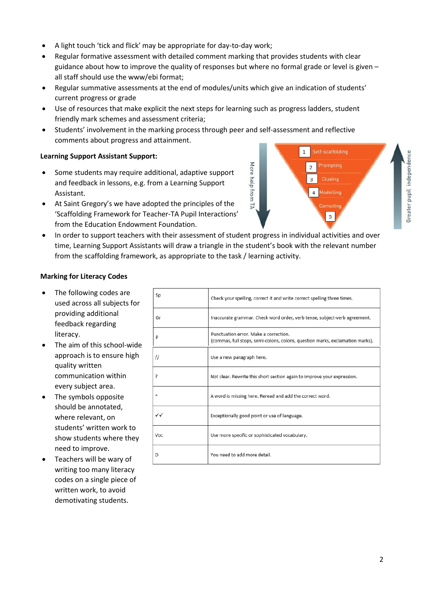- A light touch 'tick and flick' may be appropriate for day-to-day work;
- Regular formative assessment with detailed comment marking that provides students with clear guidance about how to improve the quality of responses but where no formal grade or level is given – all staff should use the www/ebi format;
- Regular summative assessments at the end of modules/units which give an indication of students' current progress or grade
- Use of resources that make explicit the next steps for learning such as progress ladders, student friendly mark schemes and assessment criteria;
- Students' involvement in the marking process through peer and self-assessment and reflective comments about progress and attainment.

#### **Learning Support Assistant Support:**

- Some students may require additional, adaptive support and feedback in lessons, e.g. from a Learning Support Assistant.
- At Saint Gregory's we have adopted the principles of the 'Scaffolding Framework for Teacher-TA Pupil Interactions' from the Education Endowment Foundation.
- In order to support teachers with their assessment of student progress in individual activities and over time, Learning Support Assistants will draw a triangle in the student's book with the relevant number from the scaffolding framework, as appropriate to the task / learning activity.

### **Marking for Literacy Codes**

- The following codes are used across all subjects for providing additional feedback regarding literacy.
- The aim of this school-wide approach is to ensure high quality written communication within every subject area.
- The symbols opposite should be annotated, where relevant, on students' written work to show students where they need to improve.
- Teachers will be wary of writing too many literacy codes on a single piece of written work, to avoid demotivating students.

| Sp  | Check your spelling, correct it and write correct spelling three times.                                                |
|-----|------------------------------------------------------------------------------------------------------------------------|
| Gr  | Inaccurate grammar. Check word order, verb tense, subject-verb agreement.                                              |
| P   | Punctuation error. Make a correction.<br>(commas, full stops, semi-colons, colons, question marks, exclamation marks). |
| 11  | Use a new paragraph here.                                                                                              |
| 5.  | Not clear. Rewrite this short section again to improve your expression.                                                |
| ٨   | A word is missing here. Reread and add the correct word.                                                               |
| ン   | Exceptionally good point or use of language.                                                                           |
| Voc | Use more specific or sophisticated vocabulary.                                                                         |
| D   | You need to add more detail.                                                                                           |

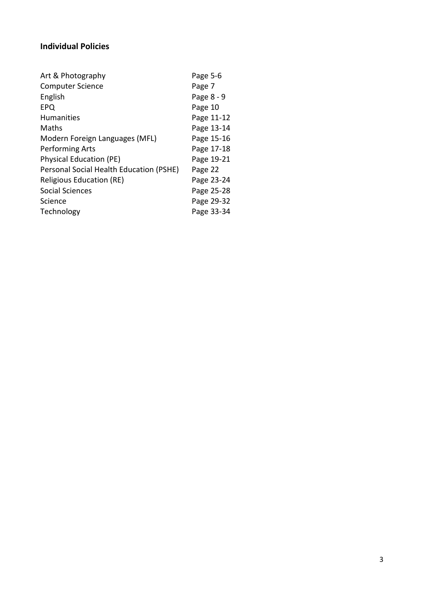### **Individual Policies**

| Art & Photography                       | Page 5-6   |
|-----------------------------------------|------------|
| <b>Computer Science</b>                 | Page 7     |
| English                                 | Page 8 - 9 |
| <b>EPQ</b>                              | Page 10    |
| <b>Humanities</b>                       | Page 11-12 |
| Maths                                   | Page 13-14 |
| Modern Foreign Languages (MFL)          | Page 15-16 |
| <b>Performing Arts</b>                  | Page 17-18 |
| <b>Physical Education (PE)</b>          | Page 19-21 |
| Personal Social Health Education (PSHE) | Page 22    |
| <b>Religious Education (RE)</b>         | Page 23-24 |
| <b>Social Sciences</b>                  | Page 25-28 |
| Science                                 | Page 29-32 |
| Technology                              | Page 33-34 |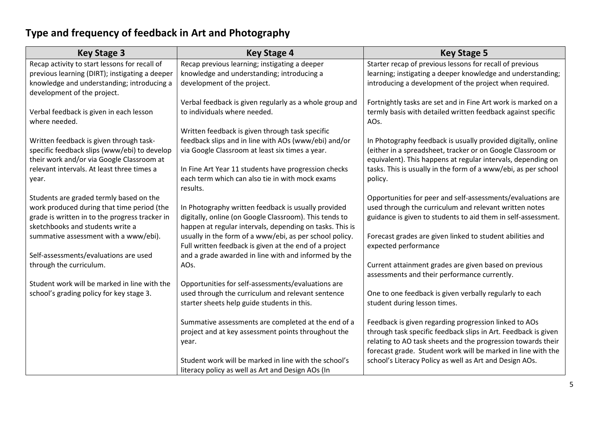# **Type and frequency of feedback in Art and Photography**

| <b>Key Stage 3</b>                                                                      | <b>Key Stage 4</b>                                                                                      | <b>Key Stage 5</b>                                                                                                           |
|-----------------------------------------------------------------------------------------|---------------------------------------------------------------------------------------------------------|------------------------------------------------------------------------------------------------------------------------------|
| Recap activity to start lessons for recall of                                           | Recap previous learning; instigating a deeper                                                           | Starter recap of previous lessons for recall of previous                                                                     |
| previous learning (DIRT); instigating a deeper                                          | knowledge and understanding; introducing a                                                              | learning; instigating a deeper knowledge and understanding;                                                                  |
| knowledge and understanding; introducing a                                              | development of the project.                                                                             | introducing a development of the project when required.                                                                      |
| development of the project.                                                             |                                                                                                         |                                                                                                                              |
|                                                                                         | Verbal feedback is given regularly as a whole group and                                                 | Fortnightly tasks are set and in Fine Art work is marked on a                                                                |
| Verbal feedback is given in each lesson                                                 | to individuals where needed.                                                                            | termly basis with detailed written feedback against specific                                                                 |
| where needed.                                                                           |                                                                                                         | AOs.                                                                                                                         |
|                                                                                         | Written feedback is given through task specific                                                         |                                                                                                                              |
| Written feedback is given through task-<br>specific feedback slips (www/ebi) to develop | feedback slips and in line with AOs (www/ebi) and/or<br>via Google Classroom at least six times a year. | In Photography feedback is usually provided digitally, online<br>(either in a spreadsheet, tracker or on Google Classroom or |
| their work and/or via Google Classroom at                                               |                                                                                                         | equivalent). This happens at regular intervals, depending on                                                                 |
| relevant intervals. At least three times a                                              | In Fine Art Year 11 students have progression checks                                                    | tasks. This is usually in the form of a www/ebi, as per school                                                               |
| year.                                                                                   | each term which can also tie in with mock exams                                                         | policy.                                                                                                                      |
|                                                                                         | results.                                                                                                |                                                                                                                              |
| Students are graded termly based on the                                                 |                                                                                                         | Opportunities for peer and self-assessments/evaluations are                                                                  |
| work produced during that time period (the                                              | In Photography written feedback is usually provided                                                     | used through the curriculum and relevant written notes                                                                       |
| grade is written in to the progress tracker in                                          | digitally, online (on Google Classroom). This tends to                                                  | guidance is given to students to aid them in self-assessment.                                                                |
| sketchbooks and students write a                                                        | happen at regular intervals, depending on tasks. This is                                                |                                                                                                                              |
| summative assessment with a www/ebi).                                                   | usually in the form of a www/ebi, as per school policy.                                                 | Forecast grades are given linked to student abilities and                                                                    |
|                                                                                         | Full written feedback is given at the end of a project                                                  | expected performance                                                                                                         |
| Self-assessments/evaluations are used                                                   | and a grade awarded in line with and informed by the                                                    |                                                                                                                              |
| through the curriculum.                                                                 | AOs.                                                                                                    | Current attainment grades are given based on previous                                                                        |
|                                                                                         |                                                                                                         | assessments and their performance currently.                                                                                 |
| Student work will be marked in line with the                                            | Opportunities for self-assessments/evaluations are                                                      |                                                                                                                              |
| school's grading policy for key stage 3.                                                | used through the curriculum and relevant sentence<br>starter sheets help guide students in this.        | One to one feedback is given verbally regularly to each<br>student during lesson times.                                      |
|                                                                                         |                                                                                                         |                                                                                                                              |
|                                                                                         | Summative assessments are completed at the end of a                                                     | Feedback is given regarding progression linked to AOs                                                                        |
|                                                                                         | project and at key assessment points throughout the                                                     | through task specific feedback slips in Art. Feedback is given                                                               |
|                                                                                         | year.                                                                                                   | relating to AO task sheets and the progression towards their                                                                 |
|                                                                                         |                                                                                                         | forecast grade. Student work will be marked in line with the                                                                 |
|                                                                                         | Student work will be marked in line with the school's                                                   | school's Literacy Policy as well as Art and Design AOs.                                                                      |
|                                                                                         | literacy policy as well as Art and Design AOs (In                                                       |                                                                                                                              |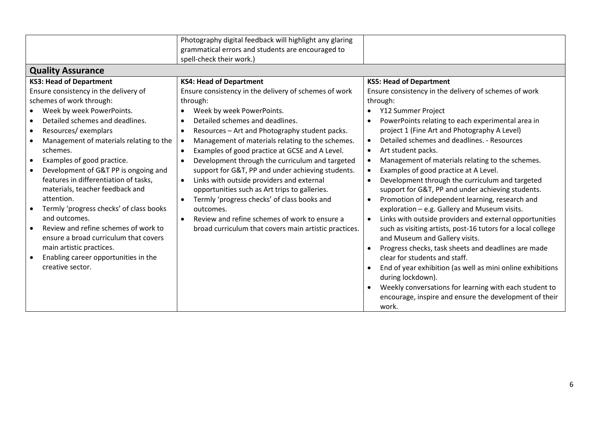| <b>Quality Assurance</b>                | Photography digital feedback will highlight any glaring<br>grammatical errors and students are encouraged to<br>spell-check their work.) |                                                                     |
|-----------------------------------------|------------------------------------------------------------------------------------------------------------------------------------------|---------------------------------------------------------------------|
|                                         |                                                                                                                                          |                                                                     |
| <b>KS3: Head of Department</b>          | <b>KS4: Head of Department</b>                                                                                                           | <b>KS5: Head of Department</b>                                      |
| Ensure consistency in the delivery of   | Ensure consistency in the delivery of schemes of work                                                                                    | Ensure consistency in the delivery of schemes of work               |
| schemes of work through:                | through:                                                                                                                                 | through:                                                            |
| Week by week PowerPoints.               | Week by week PowerPoints.                                                                                                                | Y12 Summer Project                                                  |
| Detailed schemes and deadlines.         | Detailed schemes and deadlines.<br>$\bullet$                                                                                             | PowerPoints relating to each experimental area in<br>$\bullet$      |
| Resources/exemplars                     | Resources - Art and Photography student packs.<br>٠                                                                                      | project 1 (Fine Art and Photography A Level)                        |
| Management of materials relating to the | Management of materials relating to the schemes.                                                                                         | Detailed schemes and deadlines. - Resources                         |
| schemes.                                | Examples of good practice at GCSE and A Level.<br>$\bullet$                                                                              | Art student packs.<br>$\bullet$                                     |
| Examples of good practice.              | Development through the curriculum and targeted                                                                                          | Management of materials relating to the schemes.                    |
| Development of G&T PP is ongoing and    | support for G&T, PP and under achieving students.                                                                                        | Examples of good practice at A Level.                               |
| features in differentiation of tasks,   | Links with outside providers and external<br>$\bullet$                                                                                   | Development through the curriculum and targeted<br>$\bullet$        |
| materials, teacher feedback and         | opportunities such as Art trips to galleries.                                                                                            | support for G&T, PP and under achieving students.                   |
| attention.                              | Termly 'progress checks' of class books and                                                                                              | Promotion of independent learning, research and                     |
| Termly 'progress checks' of class books | outcomes.                                                                                                                                | exploration - e.g. Gallery and Museum visits.                       |
| and outcomes.                           | Review and refine schemes of work to ensure a                                                                                            | Links with outside providers and external opportunities             |
| Review and refine schemes of work to    | broad curriculum that covers main artistic practices.                                                                                    | such as visiting artists, post-16 tutors for a local college        |
| ensure a broad curriculum that covers   |                                                                                                                                          | and Museum and Gallery visits.                                      |
| main artistic practices.                |                                                                                                                                          | Progress checks, task sheets and deadlines are made                 |
| Enabling career opportunities in the    |                                                                                                                                          | clear for students and staff.                                       |
| creative sector.                        |                                                                                                                                          | End of year exhibition (as well as mini online exhibitions          |
|                                         |                                                                                                                                          | during lockdown).                                                   |
|                                         |                                                                                                                                          | Weekly conversations for learning with each student to<br>$\bullet$ |
|                                         |                                                                                                                                          | encourage, inspire and ensure the development of their              |
|                                         |                                                                                                                                          | work.                                                               |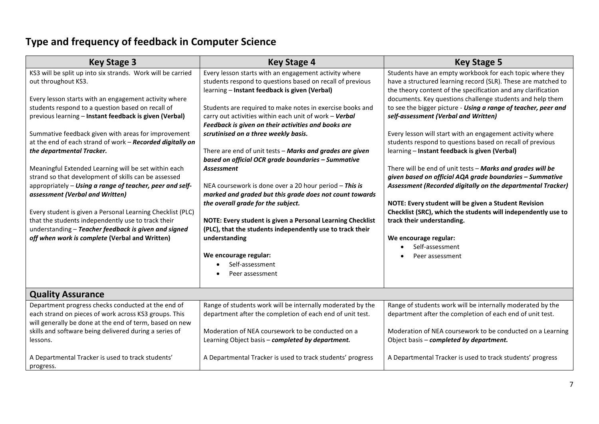# **Type and frequency of feedback in Computer Science**

| <b>Key Stage 3</b>                                                                                                                                                                                                                                                                                                                                                                                                                                                                                                                                                                                                                                                                                                                                                                                                                                       | <b>Key Stage 4</b>                                                                                                                                                                                                                                                                                                                                                                                                                                                                                                                                                                                                                                                                                                                                                                                                                      | <b>Key Stage 5</b>                                                                                                                                                                                                                                                                                                                                                                                                                                                                                                                                                                                                                                                                                                                                                                                                                                                                                                     |
|----------------------------------------------------------------------------------------------------------------------------------------------------------------------------------------------------------------------------------------------------------------------------------------------------------------------------------------------------------------------------------------------------------------------------------------------------------------------------------------------------------------------------------------------------------------------------------------------------------------------------------------------------------------------------------------------------------------------------------------------------------------------------------------------------------------------------------------------------------|-----------------------------------------------------------------------------------------------------------------------------------------------------------------------------------------------------------------------------------------------------------------------------------------------------------------------------------------------------------------------------------------------------------------------------------------------------------------------------------------------------------------------------------------------------------------------------------------------------------------------------------------------------------------------------------------------------------------------------------------------------------------------------------------------------------------------------------------|------------------------------------------------------------------------------------------------------------------------------------------------------------------------------------------------------------------------------------------------------------------------------------------------------------------------------------------------------------------------------------------------------------------------------------------------------------------------------------------------------------------------------------------------------------------------------------------------------------------------------------------------------------------------------------------------------------------------------------------------------------------------------------------------------------------------------------------------------------------------------------------------------------------------|
| KS3 will be split up into six strands. Work will be carried<br>out throughout KS3.<br>Every lesson starts with an engagement activity where<br>students respond to a question based on recall of<br>previous learning - Instant feedback is given (Verbal)<br>Summative feedback given with areas for improvement<br>at the end of each strand of work - Recorded digitally on<br>the departmental Tracker.<br>Meaningful Extended Learning will be set within each<br>strand so that development of skills can be assessed<br>appropriately - Using a range of teacher, peer and self-<br>assessment (Verbal and Written)<br>Every student is given a Personal Learning Checklist (PLC)<br>that the students independently use to track their<br>understanding - Teacher feedback is given and signed<br>off when work is complete (Verbal and Written) | Every lesson starts with an engagement activity where<br>students respond to questions based on recall of previous<br>learning - Instant feedback is given (Verbal)<br>Students are required to make notes in exercise books and<br>carry out activities within each unit of work - Verbal<br>Feedback is given on their activities and books are<br>scrutinised on a three weekly basis.<br>There are end of unit tests - Marks and grades are given<br>based on official OCR grade boundaries - Summative<br><b>Assessment</b><br>NEA coursework is done over a 20 hour period - This is<br>marked and graded but this grade does not count towards<br>the overall grade for the subject.<br>NOTE: Every student is given a Personal Learning Checklist<br>(PLC), that the students independently use to track their<br>understanding | Students have an empty workbook for each topic where they<br>have a structured learning record (SLR). These are matched to<br>the theory content of the specification and any clarification<br>documents. Key questions challenge students and help them<br>to see the bigger picture - Using a range of teacher, peer and<br>self-assessment (Verbal and Written)<br>Every lesson will start with an engagement activity where<br>students respond to questions based on recall of previous<br>learning - Instant feedback is given (Verbal)<br>There will be end of unit tests - Marks and grades will be<br>given based on official AQA grade boundaries - Summative<br>Assessment (Recorded digitally on the departmental Tracker)<br>NOTE: Every student will be given a Student Revision<br>Checklist (SRC), which the students will independently use to<br>track their understanding.<br>We encourage regular: |
|                                                                                                                                                                                                                                                                                                                                                                                                                                                                                                                                                                                                                                                                                                                                                                                                                                                          | We encourage regular:<br>Self-assessment<br>Peer assessment                                                                                                                                                                                                                                                                                                                                                                                                                                                                                                                                                                                                                                                                                                                                                                             | Self-assessment<br>Peer assessment                                                                                                                                                                                                                                                                                                                                                                                                                                                                                                                                                                                                                                                                                                                                                                                                                                                                                     |
| <b>Quality Assurance</b>                                                                                                                                                                                                                                                                                                                                                                                                                                                                                                                                                                                                                                                                                                                                                                                                                                 |                                                                                                                                                                                                                                                                                                                                                                                                                                                                                                                                                                                                                                                                                                                                                                                                                                         |                                                                                                                                                                                                                                                                                                                                                                                                                                                                                                                                                                                                                                                                                                                                                                                                                                                                                                                        |
| Department progress checks conducted at the end of<br>each strand on pieces of work across KS3 groups. This<br>will generally be done at the end of term, based on new                                                                                                                                                                                                                                                                                                                                                                                                                                                                                                                                                                                                                                                                                   | Range of students work will be internally moderated by the<br>department after the completion of each end of unit test.                                                                                                                                                                                                                                                                                                                                                                                                                                                                                                                                                                                                                                                                                                                 | Range of students work will be internally moderated by the<br>department after the completion of each end of unit test.                                                                                                                                                                                                                                                                                                                                                                                                                                                                                                                                                                                                                                                                                                                                                                                                |
| skills and software being delivered during a series of<br>lessons.                                                                                                                                                                                                                                                                                                                                                                                                                                                                                                                                                                                                                                                                                                                                                                                       | Moderation of NEA coursework to be conducted on a<br>Learning Object basis - completed by department.                                                                                                                                                                                                                                                                                                                                                                                                                                                                                                                                                                                                                                                                                                                                   | Moderation of NEA coursework to be conducted on a Learning<br>Object basis - completed by department.                                                                                                                                                                                                                                                                                                                                                                                                                                                                                                                                                                                                                                                                                                                                                                                                                  |
| A Departmental Tracker is used to track students'<br>progress.                                                                                                                                                                                                                                                                                                                                                                                                                                                                                                                                                                                                                                                                                                                                                                                           | A Departmental Tracker is used to track students' progress                                                                                                                                                                                                                                                                                                                                                                                                                                                                                                                                                                                                                                                                                                                                                                              | A Departmental Tracker is used to track students' progress                                                                                                                                                                                                                                                                                                                                                                                                                                                                                                                                                                                                                                                                                                                                                                                                                                                             |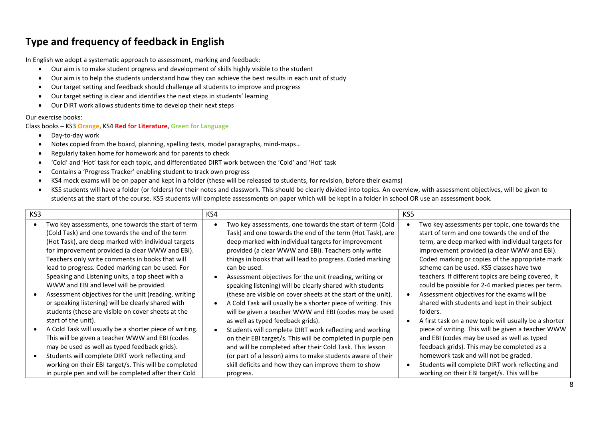### **Type and frequency of feedback in English**

In English we adopt a systematic approach to assessment, marking and feedback:

- Our aim is to make student progress and development of skills highly visible to the student
- Our aim is to help the students understand how they can achieve the best results in each unit of study
- Our target setting and feedback should challenge all students to improve and progress
- Our target setting is clear and identifies the next steps in students' learning
- Our DIRT work allows students time to develop their next steps

#### Our exercise books:

Class books – KS3 **Orange**, KS4 **Red for Literature**, **Green for Language**

- Day-to-day work
- Notes copied from the board, planning, spelling tests, model paragraphs, mind-maps…
- Regularly taken home for homework and for parents to check
- 'Cold' and 'Hot' task for each topic, and differentiated DIRT work between the 'Cold' and 'Hot' task
- Contains a 'Progress Tracker' enabling student to track own progress
- KS4 mock exams will be on paper and kept in a folder (these will be released to students, for revision, before their exams)
- KS5 students will have a folder (or folders) for their notes and classwork. This should be clearly divided into topics. An overview, with assessment objectives, will be given to students at the start of the course. KS5 students will complete assessments on paper which will be kept in a folder in school OR use an assessment book.

| KS3 |                                                                                                                                                                                                                                                                                                                                                                                                                                                                                                                                                                                                                                                                                                                                                                                 | KS4 |                                                                                                                                                                                                                                                                                                                                                                                                                                                                                                                                                                                                                                                                                                                                                                                                                                                               | KS5 |                                                                                                                                                                                                                                                                                                                                                                                                                                                                                                                                                                                                                                                                                                                                         |
|-----|---------------------------------------------------------------------------------------------------------------------------------------------------------------------------------------------------------------------------------------------------------------------------------------------------------------------------------------------------------------------------------------------------------------------------------------------------------------------------------------------------------------------------------------------------------------------------------------------------------------------------------------------------------------------------------------------------------------------------------------------------------------------------------|-----|---------------------------------------------------------------------------------------------------------------------------------------------------------------------------------------------------------------------------------------------------------------------------------------------------------------------------------------------------------------------------------------------------------------------------------------------------------------------------------------------------------------------------------------------------------------------------------------------------------------------------------------------------------------------------------------------------------------------------------------------------------------------------------------------------------------------------------------------------------------|-----|-----------------------------------------------------------------------------------------------------------------------------------------------------------------------------------------------------------------------------------------------------------------------------------------------------------------------------------------------------------------------------------------------------------------------------------------------------------------------------------------------------------------------------------------------------------------------------------------------------------------------------------------------------------------------------------------------------------------------------------------|
|     | Two key assessments, one towards the start of term<br>(Cold Task) and one towards the end of the term<br>(Hot Task), are deep marked with individual targets<br>for improvement provided (a clear WWW and EBI).<br>Teachers only write comments in books that will<br>lead to progress. Coded marking can be used. For<br>Speaking and Listening units, a top sheet with a<br>WWW and EBI and level will be provided.<br>Assessment objectives for the unit (reading, writing<br>or speaking listening) will be clearly shared with<br>students (these are visible on cover sheets at the<br>start of the unit).<br>A Cold Task will usually be a shorter piece of writing.<br>This will be given a teacher WWW and EBI (codes<br>may be used as well as typed feedback grids). |     | Two key assessments, one towards the start of term (Cold<br>Task) and one towards the end of the term (Hot Task), are<br>deep marked with individual targets for improvement<br>provided (a clear WWW and EBI). Teachers only write<br>things in books that will lead to progress. Coded marking<br>can be used.<br>Assessment objectives for the unit (reading, writing or<br>speaking listening) will be clearly shared with students<br>(these are visible on cover sheets at the start of the unit).<br>A Cold Task will usually be a shorter piece of writing. This<br>will be given a teacher WWW and EBI (codes may be used<br>as well as typed feedback grids).<br>Students will complete DIRT work reflecting and working<br>on their EBI target/s. This will be completed in purple pen<br>and will be completed after their Cold Task. This lesson |     | Two key assessments per topic, one towards the<br>start of term and one towards the end of the<br>term, are deep marked with individual targets for<br>improvement provided (a clear WWW and EBI).<br>Coded marking or copies of the appropriate mark<br>scheme can be used. KS5 classes have two<br>teachers. If different topics are being covered, it<br>could be possible for 2-4 marked pieces per term.<br>Assessment objectives for the exams will be<br>shared with students and kept in their subject<br>folders.<br>A first task on a new topic will usually be a shorter<br>piece of writing. This will be given a teacher WWW<br>and EBI (codes may be used as well as typed<br>feedback grids). This may be completed as a |
|     | Students will complete DIRT work reflecting and<br>working on their EBI target/s. This will be completed<br>in purple pen and will be completed after their Cold                                                                                                                                                                                                                                                                                                                                                                                                                                                                                                                                                                                                                |     | (or part of a lesson) aims to make students aware of their<br>skill deficits and how they can improve them to show<br>progress.                                                                                                                                                                                                                                                                                                                                                                                                                                                                                                                                                                                                                                                                                                                               |     | homework task and will not be graded.<br>Students will complete DIRT work reflecting and<br>working on their EBI target/s. This will be                                                                                                                                                                                                                                                                                                                                                                                                                                                                                                                                                                                                 |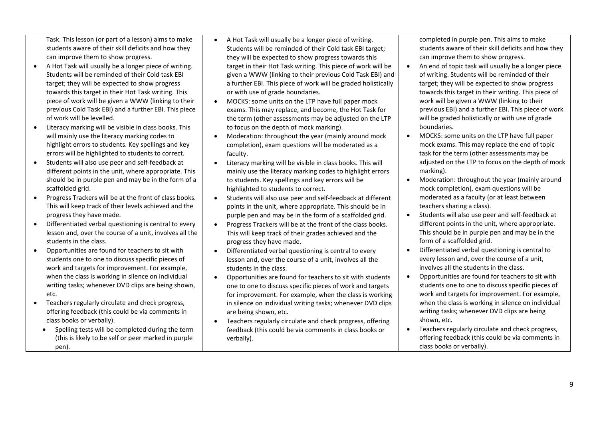Task. This lesson (or part of a lesson) aims to make students aware of their skill deficits and how they can improve them to show progress.

- A Hot Task will usually be a longer piece of writing. Students will be reminded of their Cold task EBI target; they will be expected to show progress towards this target in their Hot Task writing. This piece of work will be given a WWW (linking to their previous Cold Task EBI) and a further EBI. This piece of work will be levelled.
- Literacy marking will be visible in class books. This will mainly use the literacy marking codes to highlight errors to students. Key spellings and key errors will be highlighted to students to correct.
- Students will also use peer and self-feedback at different points in the unit, where appropriate. This should be in purple pen and may be in the form of a scaffolded grid.
- Progress Trackers will be at the front of class books. This will keep track of their levels achieved and the progress they have made.
- Differentiated verbal questioning is central to every lesson and, over the course of a unit, involves all the students in the class.
- Opportunities are found for teachers to sit with students one to one to discuss specific pieces of work and targets for improvement. For example, when the class is working in silence on individual writing tasks; whenever DVD clips are being shown, etc.
- Teachers regularly circulate and check progress, offering feedback (this could be via comments in class books or verbally).
	- Spelling tests will be completed during the term (this is likely to be self or peer marked in purple pen).
- A Hot Task will usually be a longer piece of writing. Students will be reminded of their Cold task EBI target; they will be expected to show progress towards this target in their Hot Task writing. This piece of work will be given a WWW (linking to their previous Cold Task EBI) and a further EBI. This piece of work will be graded holistically or with use of grade boundaries.
- MOCKS: some units on the LTP have full paper mock exams. This may replace, and become, the Hot Task for the term (other assessments may be adjusted on the LTP to focus on the depth of mock marking).
- Moderation: throughout the year (mainly around mock completion), exam questions will be moderated as a faculty.
- Literacy marking will be visible in class books. This will mainly use the literacy marking codes to highlight errors to students. Key spellings and key errors will be highlighted to students to correct.
- Students will also use peer and self-feedback at different points in the unit, where appropriate. This should be in purple pen and may be in the form of a scaffolded grid.
- Progress Trackers will be at the front of the class books. This will keep track of their grades achieved and the progress they have made.
- Differentiated verbal questioning is central to every lesson and, over the course of a unit, involves all the students in the class.
- Opportunities are found for teachers to sit with students one to one to discuss specific pieces of work and targets for improvement. For example, when the class is working in silence on individual writing tasks; whenever DVD clips are being shown, etc.
- Teachers regularly circulate and check progress, offering feedback (this could be via comments in class books or verbally).

completed in purple pen. This aims to make students aware of their skill deficits and how they can improve them to show progress.

- An end of topic task will usually be a longer piece of writing. Students will be reminded of their target; they will be expected to show progress towards this target in their writing. This piece of work will be given a WWW (linking to their previous EBI) and a further EBI. This piece of work will be graded holistically or with use of grade boundaries.
- MOCKS: some units on the LTP have full paper mock exams. This may replace the end of topic task for the term (other assessments may be adjusted on the LTP to focus on the depth of mock marking).
- Moderation: throughout the year (mainly around mock completion), exam questions will be moderated as a faculty (or at least between teachers sharing a class).
- Students will also use peer and self-feedback at different points in the unit, where appropriate. This should be in purple pen and may be in the form of a scaffolded grid.
- Differentiated verbal questioning is central to every lesson and, over the course of a unit, involves all the students in the class.
- Opportunities are found for teachers to sit with students one to one to discuss specific pieces of work and targets for improvement. For example, when the class is working in silence on individual writing tasks; whenever DVD clips are being shown, etc.
- Teachers regularly circulate and check progress, offering feedback (this could be via comments in class books or verbally).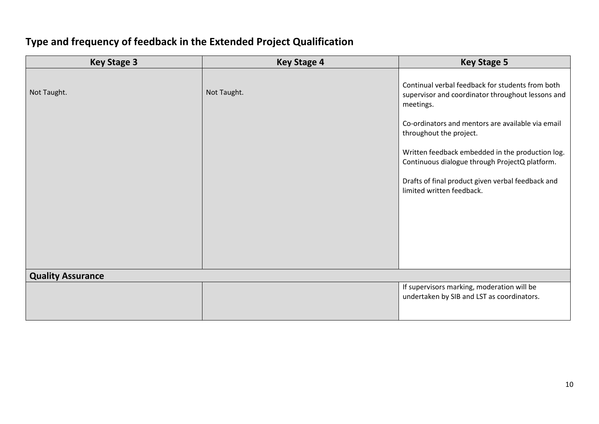# **Type and frequency of feedback in the Extended Project Qualification**

| <b>Key Stage 3</b>       | <b>Key Stage 4</b> | <b>Key Stage 5</b>                                                                                                                                                                                                                                                                                                                                                                         |
|--------------------------|--------------------|--------------------------------------------------------------------------------------------------------------------------------------------------------------------------------------------------------------------------------------------------------------------------------------------------------------------------------------------------------------------------------------------|
| Not Taught.              | Not Taught.        | Continual verbal feedback for students from both<br>supervisor and coordinator throughout lessons and<br>meetings.<br>Co-ordinators and mentors are available via email<br>throughout the project.<br>Written feedback embedded in the production log.<br>Continuous dialogue through ProjectQ platform.<br>Drafts of final product given verbal feedback and<br>limited written feedback. |
| <b>Quality Assurance</b> |                    |                                                                                                                                                                                                                                                                                                                                                                                            |
|                          |                    | If supervisors marking, moderation will be<br>undertaken by SIB and LST as coordinators.                                                                                                                                                                                                                                                                                                   |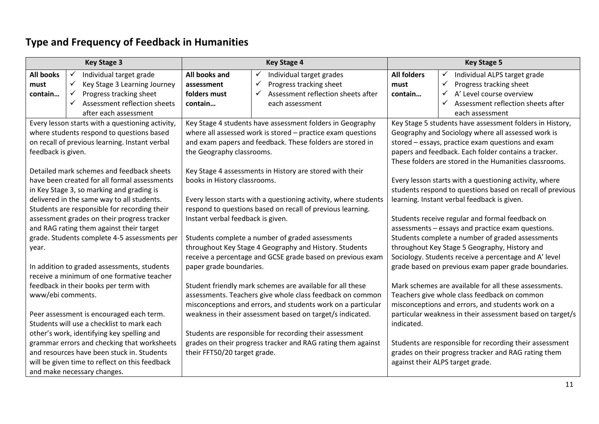# **Type and Frequency of Feedback in Humanities**

| <b>Key Stage 3</b>                           |                                                  |                                                                                                                | <b>Key Stage 4</b>                                           | <b>Key Stage 5</b>                                    |                                                           |
|----------------------------------------------|--------------------------------------------------|----------------------------------------------------------------------------------------------------------------|--------------------------------------------------------------|-------------------------------------------------------|-----------------------------------------------------------|
| <b>All books</b>                             | Individual target grade<br>$\checkmark$          | All books and                                                                                                  | Individual target grades<br>✓                                | <b>All folders</b>                                    | Individual ALPS target grade<br>✓                         |
| must                                         | $\checkmark$<br>Key Stage 3 Learning Journey     | assessment                                                                                                     | Progress tracking sheet<br>✓                                 | must                                                  | ✓<br>Progress tracking sheet                              |
| contain                                      | Progress tracking sheet<br>$\checkmark$          | folders must                                                                                                   | Assessment reflection sheets after<br>✓                      | contain                                               | A' Level course overview<br>✓                             |
|                                              | Assessment reflection sheets<br>$\checkmark$     | contain                                                                                                        | each assessment                                              |                                                       | ✓<br>Assessment reflection sheets after                   |
|                                              | after each assessment                            |                                                                                                                |                                                              |                                                       | each assessment                                           |
|                                              | Every lesson starts with a questioning activity, |                                                                                                                | Key Stage 4 students have assessment folders in Geography    |                                                       | Key Stage 5 students have assessment folders in History,  |
|                                              | where students respond to questions based        |                                                                                                                | where all assessed work is stored - practice exam questions  | Geography and Sociology where all assessed work is    |                                                           |
|                                              | on recall of previous learning. Instant verbal   |                                                                                                                | and exam papers and feedback. These folders are stored in    |                                                       | stored - essays, practice exam questions and exam         |
| feedback is given.                           |                                                  | the Geography classrooms.                                                                                      |                                                              |                                                       | papers and feedback. Each folder contains a tracker.      |
|                                              |                                                  |                                                                                                                |                                                              |                                                       | These folders are stored in the Humanities classrooms.    |
|                                              | Detailed mark schemes and feedback sheets        |                                                                                                                | Key Stage 4 assessments in History are stored with their     |                                                       |                                                           |
|                                              | have been created for all formal assessments     | books in History classrooms.                                                                                   |                                                              |                                                       | Every lesson starts with a questioning activity, where    |
|                                              | in Key Stage 3, so marking and grading is        |                                                                                                                |                                                              |                                                       | students respond to questions based on recall of previous |
| delivered in the same way to all students.   |                                                  | Every lesson starts with a questioning activity, where students<br>learning. Instant verbal feedback is given. |                                                              |                                                       |                                                           |
| Students are responsible for recording their |                                                  | respond to questions based on recall of previous learning.                                                     |                                                              |                                                       |                                                           |
| assessment grades on their progress tracker  |                                                  | Instant verbal feedback is given.                                                                              |                                                              |                                                       | Students receive regular and formal feedback on           |
| and RAG rating them against their target     |                                                  |                                                                                                                |                                                              |                                                       | assessments - essays and practice exam questions.         |
|                                              | grade. Students complete 4-5 assessments per     |                                                                                                                | Students complete a number of graded assessments             |                                                       | Students complete a number of graded assessments          |
| year.                                        |                                                  | throughout Key Stage 4 Geography and History. Students                                                         |                                                              |                                                       | throughout Key Stage 5 Geography, History and             |
|                                              |                                                  | receive a percentage and GCSE grade based on previous exam                                                     |                                                              | Sociology. Students receive a percentage and A' level |                                                           |
|                                              | In addition to graded assessments, students      | paper grade boundaries.                                                                                        |                                                              |                                                       | grade based on previous exam paper grade boundaries.      |
|                                              | receive a minimum of one formative teacher       |                                                                                                                |                                                              |                                                       |                                                           |
|                                              | feedback in their books per term with            |                                                                                                                | Student friendly mark schemes are available for all these    |                                                       | Mark schemes are available for all these assessments.     |
| www/ebi comments.                            |                                                  |                                                                                                                | assessments. Teachers give whole class feedback on common    |                                                       | Teachers give whole class feedback on common              |
|                                              |                                                  |                                                                                                                | misconceptions and errors, and students work on a particular |                                                       | misconceptions and errors, and students work on a         |
| Peer assessment is encouraged each term.     |                                                  |                                                                                                                | weakness in their assessment based on target/s indicated.    |                                                       | particular weakness in their assessment based on target/s |
|                                              | Students will use a checklist to mark each       |                                                                                                                |                                                              | indicated.                                            |                                                           |
|                                              | other's work, identifying key spelling and       |                                                                                                                | Students are responsible for recording their assessment      |                                                       |                                                           |
| grammar errors and checking that worksheets  |                                                  |                                                                                                                | grades on their progress tracker and RAG rating them against |                                                       | Students are responsible for recording their assessment   |
| and resources have been stuck in. Students   |                                                  | their FFT50/20 target grade.<br>grades on their progress tracker and RAG rating them                           |                                                              |                                                       |                                                           |
|                                              | will be given time to reflect on this feedback   |                                                                                                                |                                                              |                                                       | against their ALPS target grade.                          |
|                                              | and make necessary changes.                      |                                                                                                                |                                                              |                                                       |                                                           |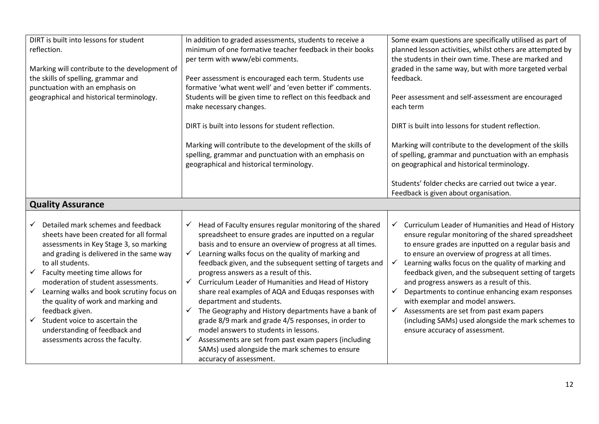| DIRT is built into lessons for student<br>reflection.<br>Marking will contribute to the development of<br>the skills of spelling, grammar and<br>punctuation with an emphasis on<br>geographical and historical terminology.                                                                                                                                                                                                                                                                                  | In addition to graded assessments, students to receive a<br>minimum of one formative teacher feedback in their books<br>per term with www/ebi comments.<br>Peer assessment is encouraged each term. Students use<br>formative 'what went well' and 'even better if' comments.<br>Students will be given time to reflect on this feedback and<br>make necessary changes.<br>DIRT is built into lessons for student reflection.<br>Marking will contribute to the development of the skills of<br>spelling, grammar and punctuation with an emphasis on<br>geographical and historical terminology.                                                                                                                                                                                                                                                                 | Some exam questions are specifically utilised as part of<br>planned lesson activities, whilst others are attempted by<br>the students in their own time. These are marked and<br>graded in the same way, but with more targeted verbal<br>feedback.<br>Peer assessment and self-assessment are encouraged<br>each term<br>DIRT is built into lessons for student reflection.<br>Marking will contribute to the development of the skills<br>of spelling, grammar and punctuation with an emphasis<br>on geographical and historical terminology.<br>Students' folder checks are carried out twice a year.                                                                    |
|---------------------------------------------------------------------------------------------------------------------------------------------------------------------------------------------------------------------------------------------------------------------------------------------------------------------------------------------------------------------------------------------------------------------------------------------------------------------------------------------------------------|-------------------------------------------------------------------------------------------------------------------------------------------------------------------------------------------------------------------------------------------------------------------------------------------------------------------------------------------------------------------------------------------------------------------------------------------------------------------------------------------------------------------------------------------------------------------------------------------------------------------------------------------------------------------------------------------------------------------------------------------------------------------------------------------------------------------------------------------------------------------|------------------------------------------------------------------------------------------------------------------------------------------------------------------------------------------------------------------------------------------------------------------------------------------------------------------------------------------------------------------------------------------------------------------------------------------------------------------------------------------------------------------------------------------------------------------------------------------------------------------------------------------------------------------------------|
|                                                                                                                                                                                                                                                                                                                                                                                                                                                                                                               |                                                                                                                                                                                                                                                                                                                                                                                                                                                                                                                                                                                                                                                                                                                                                                                                                                                                   | Feedback is given about organisation.                                                                                                                                                                                                                                                                                                                                                                                                                                                                                                                                                                                                                                        |
| <b>Quality Assurance</b>                                                                                                                                                                                                                                                                                                                                                                                                                                                                                      |                                                                                                                                                                                                                                                                                                                                                                                                                                                                                                                                                                                                                                                                                                                                                                                                                                                                   |                                                                                                                                                                                                                                                                                                                                                                                                                                                                                                                                                                                                                                                                              |
| Detailed mark schemes and feedback<br>$\checkmark$<br>sheets have been created for all formal<br>assessments in Key Stage 3, so marking<br>and grading is delivered in the same way<br>to all students.<br>Faculty meeting time allows for<br>moderation of student assessments.<br>Learning walks and book scrutiny focus on<br>$\checkmark$<br>the quality of work and marking and<br>feedback given.<br>Student voice to ascertain the<br>understanding of feedback and<br>assessments across the faculty. | Head of Faculty ensures regular monitoring of the shared<br>$\checkmark$<br>spreadsheet to ensure grades are inputted on a regular<br>basis and to ensure an overview of progress at all times.<br>Learning walks focus on the quality of marking and<br>$\checkmark$<br>feedback given, and the subsequent setting of targets and<br>progress answers as a result of this.<br>$\checkmark$ Curriculum Leader of Humanities and Head of History<br>share real examples of AQA and Eduqas responses with<br>department and students.<br>The Geography and History departments have a bank of<br>$\checkmark$<br>grade 8/9 mark and grade 4/5 responses, in order to<br>model answers to students in lessons.<br>Assessments are set from past exam papers (including<br>$\checkmark$<br>SAMs) used alongside the mark schemes to ensure<br>accuracy of assessment. | $\checkmark$ Curriculum Leader of Humanities and Head of History<br>ensure regular monitoring of the shared spreadsheet<br>to ensure grades are inputted on a regular basis and<br>to ensure an overview of progress at all times.<br>$\checkmark$<br>Learning walks focus on the quality of marking and<br>feedback given, and the subsequent setting of targets<br>and progress answers as a result of this.<br>Departments to continue enhancing exam responses<br>$\checkmark$<br>with exemplar and model answers.<br>Assessments are set from past exam papers<br>$\checkmark$<br>(including SAMs) used alongside the mark schemes to<br>ensure accuracy of assessment. |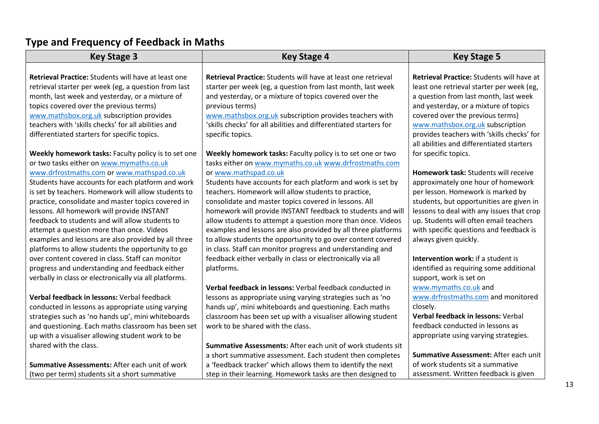## **Type and Frequency of Feedback in Maths**

| <b>Key Stage 3</b>                                     | <b>Key Stage 4</b>                                                | <b>Key Stage 5</b>                          |
|--------------------------------------------------------|-------------------------------------------------------------------|---------------------------------------------|
|                                                        |                                                                   |                                             |
| Retrieval Practice: Students will have at least one    | Retrieval Practice: Students will have at least one retrieval     | Retrieval Practice: Students will have at   |
| retrieval starter per week (eg, a question from last   | starter per week (eg, a question from last month, last week       | least one retrieval starter per week (eg,   |
| month, last week and yesterday, or a mixture of        | and yesterday, or a mixture of topics covered over the            | a question from last month, last week       |
| topics covered over the previous terms)                | previous terms)                                                   | and yesterday, or a mixture of topics       |
| www.mathsbox.org.uk subscription provides              | www.mathsbox.org.uk subscription provides teachers with           | covered over the previous terms)            |
| teachers with 'skills checks' for all abilities and    | 'skills checks' for all abilities and differentiated starters for | www.mathsbox.org.uk subscription            |
| differentiated starters for specific topics.           | specific topics.                                                  | provides teachers with 'skills checks' for  |
|                                                        |                                                                   | all abilities and differentiated starters   |
| Weekly homework tasks: Faculty policy is to set one    | Weekly homework tasks: Faculty policy is to set one or two        | for specific topics.                        |
| or two tasks either on www.mymaths.co.uk               | tasks either on www.mymaths.co.uk www.drfrostmaths.com            |                                             |
| www.drfrostmaths.com or www.mathspad.co.uk             | or www.mathspad.co.uk                                             | <b>Homework task: Students will receive</b> |
| Students have accounts for each platform and work      | Students have accounts for each platform and work is set by       | approximately one hour of homework          |
| is set by teachers. Homework will allow students to    | teachers. Homework will allow students to practice,               | per lesson. Homework is marked by           |
| practice, consolidate and master topics covered in     | consolidate and master topics covered in lessons. All             | students, but opportunities are given in    |
| lessons. All homework will provide INSTANT             | homework will provide INSTANT feedback to students and will       | lessons to deal with any issues that crop   |
| feedback to students and will allow students to        | allow students to attempt a question more than once. Videos       | up. Students will often email teachers      |
| attempt a question more than once. Videos              | examples and lessons are also provided by all three platforms     | with specific questions and feedback is     |
| examples and lessons are also provided by all three    | to allow students the opportunity to go over content covered      | always given quickly.                       |
| platforms to allow students the opportunity to go      | in class. Staff can monitor progress and understanding and        |                                             |
| over content covered in class. Staff can monitor       | feedback either verbally in class or electronically via all       | <b>Intervention work: if a student is</b>   |
| progress and understanding and feedback either         | platforms.                                                        | identified as requiring some additional     |
| verbally in class or electronically via all platforms. |                                                                   | support, work is set on                     |
|                                                        | Verbal feedback in lessons: Verbal feedback conducted in          | www.mymaths.co.uk and                       |
| Verbal feedback in lessons: Verbal feedback            | lessons as appropriate using varying strategies such as 'no       | www.drfrostmaths.com and monitored          |
| conducted in lessons as appropriate using varying      | hands up', mini whiteboards and questioning. Each maths           | closely.                                    |
| strategies such as 'no hands up', mini whiteboards     | classroom has been set up with a visualiser allowing student      | <b>Verbal feedback in lessons: Verbal</b>   |
| and questioning. Each maths classroom has been set     | work to be shared with the class.                                 | feedback conducted in lessons as            |
| up with a visualiser allowing student work to be       |                                                                   | appropriate using varying strategies.       |
| shared with the class.                                 | Summative Assessments: After each unit of work students sit       |                                             |
|                                                        | a short summative assessment. Each student then completes         | Summative Assessment: After each unit       |
| Summative Assessments: After each unit of work         | a 'feedback tracker' which allows them to identify the next       | of work students sit a summative            |
| (two per term) students sit a short summative          | step in their learning. Homework tasks are then designed to       | assessment. Written feedback is given       |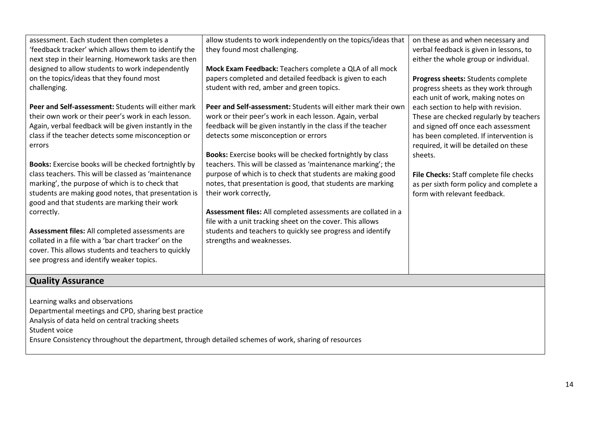| assessment. Each student then completes a<br>'feedback tracker' which allows them to identify the    | allow students to work independently on the topics/ideas that<br>they found most challenging. | on these as and when necessary and<br>verbal feedback is given in lessons, to |  |  |  |  |
|------------------------------------------------------------------------------------------------------|-----------------------------------------------------------------------------------------------|-------------------------------------------------------------------------------|--|--|--|--|
| next step in their learning. Homework tasks are then                                                 |                                                                                               | either the whole group or individual.                                         |  |  |  |  |
| designed to allow students to work independently                                                     | Mock Exam Feedback: Teachers complete a QLA of all mock                                       |                                                                               |  |  |  |  |
| on the topics/ideas that they found most                                                             | papers completed and detailed feedback is given to each                                       | Progress sheets: Students complete                                            |  |  |  |  |
| challenging.                                                                                         | student with red, amber and green topics.                                                     | progress sheets as they work through<br>each unit of work, making notes on    |  |  |  |  |
| Peer and Self-assessment: Students will either mark                                                  | Peer and Self-assessment: Students will either mark their own                                 | each section to help with revision.                                           |  |  |  |  |
| their own work or their peer's work in each lesson.                                                  | work or their peer's work in each lesson. Again, verbal                                       | These are checked regularly by teachers                                       |  |  |  |  |
| Again, verbal feedback will be given instantly in the                                                | feedback will be given instantly in the class if the teacher                                  | and signed off once each assessment                                           |  |  |  |  |
| class if the teacher detects some misconception or                                                   | detects some misconception or errors                                                          | has been completed. If intervention is                                        |  |  |  |  |
| errors                                                                                               |                                                                                               | required, it will be detailed on these                                        |  |  |  |  |
|                                                                                                      | Books: Exercise books will be checked fortnightly by class                                    | sheets.                                                                       |  |  |  |  |
| Books: Exercise books will be checked fortnightly by                                                 | teachers. This will be classed as 'maintenance marking'; the                                  |                                                                               |  |  |  |  |
| class teachers. This will be classed as 'maintenance                                                 | purpose of which is to check that students are making good                                    | File Checks: Staff complete file checks                                       |  |  |  |  |
| marking', the purpose of which is to check that                                                      | notes, that presentation is good, that students are marking                                   | as per sixth form policy and complete a                                       |  |  |  |  |
| students are making good notes, that presentation is                                                 | their work correctly,                                                                         | form with relevant feedback.                                                  |  |  |  |  |
| good and that students are marking their work                                                        |                                                                                               |                                                                               |  |  |  |  |
| correctly.                                                                                           | Assessment files: All completed assessments are collated in a                                 |                                                                               |  |  |  |  |
|                                                                                                      | file with a unit tracking sheet on the cover. This allows                                     |                                                                               |  |  |  |  |
| Assessment files: All completed assessments are                                                      | students and teachers to quickly see progress and identify                                    |                                                                               |  |  |  |  |
| collated in a file with a 'bar chart tracker' on the                                                 | strengths and weaknesses.                                                                     |                                                                               |  |  |  |  |
| cover. This allows students and teachers to quickly                                                  |                                                                                               |                                                                               |  |  |  |  |
| see progress and identify weaker topics.                                                             |                                                                                               |                                                                               |  |  |  |  |
|                                                                                                      |                                                                                               |                                                                               |  |  |  |  |
| <b>Quality Assurance</b>                                                                             |                                                                                               |                                                                               |  |  |  |  |
|                                                                                                      |                                                                                               |                                                                               |  |  |  |  |
| Learning walks and observations                                                                      |                                                                                               |                                                                               |  |  |  |  |
| Departmental meetings and CPD, sharing best practice                                                 |                                                                                               |                                                                               |  |  |  |  |
| Analysis of data held on central tracking sheets                                                     |                                                                                               |                                                                               |  |  |  |  |
| Student voice                                                                                        |                                                                                               |                                                                               |  |  |  |  |
| Ensure Consistency throughout the department, through detailed schemes of work, sharing of resources |                                                                                               |                                                                               |  |  |  |  |
|                                                                                                      |                                                                                               |                                                                               |  |  |  |  |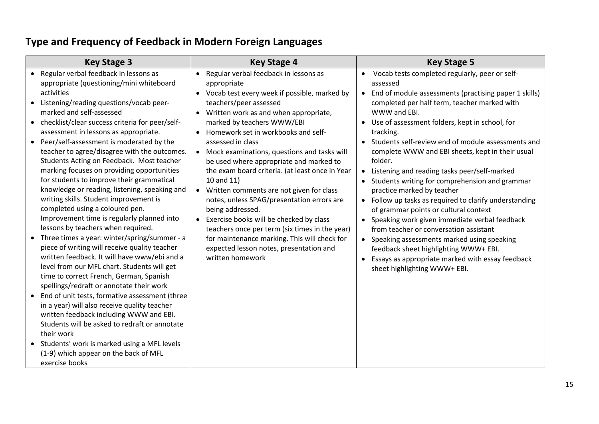# **Type and Frequency of Feedback in Modern Foreign Languages**

| <b>Key Stage 3</b>                                                                                                                                                                                                                                                                                                                                                                                                                                                                                                                                                                                                                                                                                                                                                                                                                                                                                                                                                                                                                                                                                                                                                                                                                                                                                                                                                 | <b>Key Stage 4</b>                                                                                                                                                                                                                                                                                                                                                                                                                                                                                                                                                                                                                                                                                                                                                          | <b>Key Stage 5</b>                                                                                                                                                                                                                                                                                                                                                                                                                                                                                                                                                                                                                                                                                                                                                                                                                                                                                                                                                        |
|--------------------------------------------------------------------------------------------------------------------------------------------------------------------------------------------------------------------------------------------------------------------------------------------------------------------------------------------------------------------------------------------------------------------------------------------------------------------------------------------------------------------------------------------------------------------------------------------------------------------------------------------------------------------------------------------------------------------------------------------------------------------------------------------------------------------------------------------------------------------------------------------------------------------------------------------------------------------------------------------------------------------------------------------------------------------------------------------------------------------------------------------------------------------------------------------------------------------------------------------------------------------------------------------------------------------------------------------------------------------|-----------------------------------------------------------------------------------------------------------------------------------------------------------------------------------------------------------------------------------------------------------------------------------------------------------------------------------------------------------------------------------------------------------------------------------------------------------------------------------------------------------------------------------------------------------------------------------------------------------------------------------------------------------------------------------------------------------------------------------------------------------------------------|---------------------------------------------------------------------------------------------------------------------------------------------------------------------------------------------------------------------------------------------------------------------------------------------------------------------------------------------------------------------------------------------------------------------------------------------------------------------------------------------------------------------------------------------------------------------------------------------------------------------------------------------------------------------------------------------------------------------------------------------------------------------------------------------------------------------------------------------------------------------------------------------------------------------------------------------------------------------------|
| • Regular verbal feedback in lessons as<br>appropriate (questioning/mini whiteboard<br>activities<br>Listening/reading questions/vocab peer-<br>$\bullet$<br>marked and self-assessed<br>• checklist/clear success criteria for peer/self-<br>assessment in lessons as appropriate.<br>Peer/self-assessment is moderated by the<br>$\bullet$<br>teacher to agree/disagree with the outcomes.<br>Students Acting on Feedback. Most teacher<br>marking focuses on providing opportunities<br>for students to improve their grammatical<br>knowledge or reading, listening, speaking and<br>writing skills. Student improvement is<br>completed using a coloured pen.<br>Improvement time is regularly planned into<br>lessons by teachers when required.<br>• Three times a year: winter/spring/summer - a<br>piece of writing will receive quality teacher<br>written feedback. It will have www/ebi and a<br>level from our MFL chart. Students will get<br>time to correct French, German, Spanish<br>spellings/redraft or annotate their work<br>End of unit tests, formative assessment (three<br>$\bullet$<br>in a year) will also receive quality teacher<br>written feedback including WWW and EBI.<br>Students will be asked to redraft or annotate<br>their work<br>• Students' work is marked using a MFL levels<br>(1-9) which appear on the back of MFL | Regular verbal feedback in lessons as<br>$\bullet$<br>appropriate<br>• Vocab test every week if possible, marked by<br>teachers/peer assessed<br>Written work as and when appropriate,<br>marked by teachers WWW/EBI<br>• Homework set in workbooks and self-<br>assessed in class<br>• Mock examinations, questions and tasks will<br>be used where appropriate and marked to<br>the exam board criteria. (at least once in Year<br>10 and 11)<br>• Written comments are not given for class<br>notes, unless SPAG/presentation errors are<br>being addressed.<br>Exercise books will be checked by class<br>teachers once per term (six times in the year)<br>for maintenance marking. This will check for<br>expected lesson notes, presentation and<br>written homework | Vocab tests completed regularly, peer or self-<br>$\bullet$<br>assessed<br>End of module assessments (practising paper 1 skills)<br>$\bullet$<br>completed per half term, teacher marked with<br>WWW and EBI.<br>Use of assessment folders, kept in school, for<br>tracking.<br>Students self-review end of module assessments and<br>$\bullet$<br>complete WWW and EBI sheets, kept in their usual<br>folder.<br>Listening and reading tasks peer/self-marked<br>$\bullet$<br>Students writing for comprehension and grammar<br>practice marked by teacher<br>Follow up tasks as required to clarify understanding<br>$\bullet$<br>of grammar points or cultural context<br>Speaking work given immediate verbal feedback<br>$\bullet$<br>from teacher or conversation assistant<br>Speaking assessments marked using speaking<br>$\bullet$<br>feedback sheet highlighting WWW+ EBI.<br>Essays as appropriate marked with essay feedback<br>sheet highlighting WWW+ EBI. |
| exercise books                                                                                                                                                                                                                                                                                                                                                                                                                                                                                                                                                                                                                                                                                                                                                                                                                                                                                                                                                                                                                                                                                                                                                                                                                                                                                                                                                     |                                                                                                                                                                                                                                                                                                                                                                                                                                                                                                                                                                                                                                                                                                                                                                             |                                                                                                                                                                                                                                                                                                                                                                                                                                                                                                                                                                                                                                                                                                                                                                                                                                                                                                                                                                           |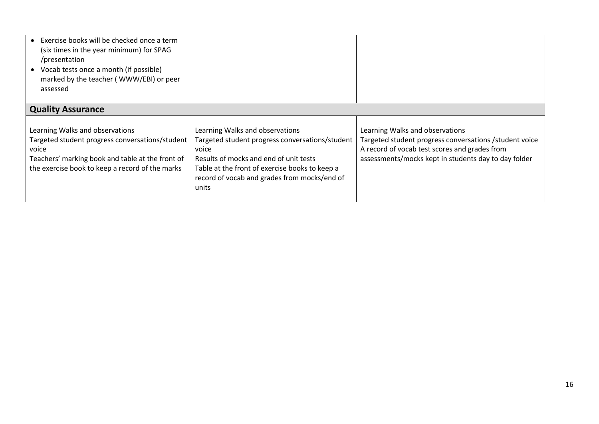| Exercise books will be checked once a term<br>(six times in the year minimum) for SPAG<br>/presentation<br>• Vocab tests once a month (if possible)<br>marked by the teacher (WWW/EBI) or peer<br>assessed |                                                                                                                                                                                                                                                  |                                                                                                                                                                                                     |
|------------------------------------------------------------------------------------------------------------------------------------------------------------------------------------------------------------|--------------------------------------------------------------------------------------------------------------------------------------------------------------------------------------------------------------------------------------------------|-----------------------------------------------------------------------------------------------------------------------------------------------------------------------------------------------------|
| <b>Quality Assurance</b>                                                                                                                                                                                   |                                                                                                                                                                                                                                                  |                                                                                                                                                                                                     |
| Learning Walks and observations<br>Targeted student progress conversations/student<br>voice<br>Teachers' marking book and table at the front of<br>the exercise book to keep a record of the marks         | Learning Walks and observations<br>Targeted student progress conversations/student<br>voice<br>Results of mocks and end of unit tests<br>Table at the front of exercise books to keep a<br>record of vocab and grades from mocks/end of<br>units | Learning Walks and observations<br>Targeted student progress conversations / student voice<br>A record of vocab test scores and grades from<br>assessments/mocks kept in students day to day folder |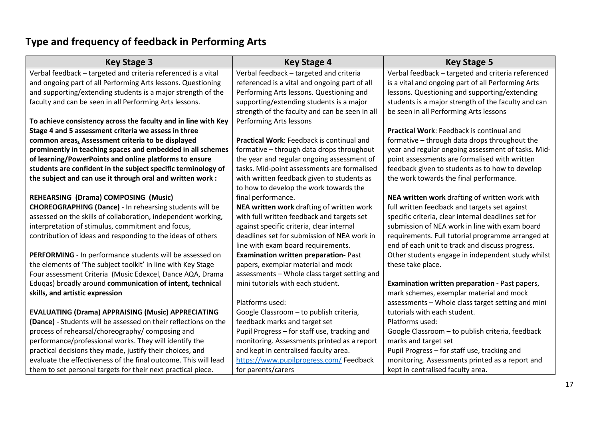# **Type and frequency of feedback in Performing Arts**

| <b>Key Stage 3</b>                                              | <b>Key Stage 4</b>                             | <b>Key Stage 5</b>                                  |
|-----------------------------------------------------------------|------------------------------------------------|-----------------------------------------------------|
| Verbal feedback - targeted and criteria referenced is a vital   | Verbal feedback - targeted and criteria        | Verbal feedback - targeted and criteria referenced  |
| and ongoing part of all Performing Arts lessons. Questioning    | referenced is a vital and ongoing part of all  | is a vital and ongoing part of all Performing Arts  |
| and supporting/extending students is a major strength of the    | Performing Arts lessons. Questioning and       | lessons. Questioning and supporting/extending       |
| faculty and can be seen in all Performing Arts lessons.         | supporting/extending students is a major       | students is a major strength of the faculty and can |
|                                                                 | strength of the faculty and can be seen in all | be seen in all Performing Arts lessons              |
| To achieve consistency across the faculty and in line with Key  | Performing Arts lessons                        |                                                     |
| Stage 4 and 5 assessment criteria we assess in three            |                                                | Practical Work: Feedback is continual and           |
| common areas. Assessment criteria to be displayed               | Practical Work: Feedback is continual and      | formative - through data drops throughout the       |
| prominently in teaching spaces and embedded in all schemes      | formative - through data drops throughout      | year and regular ongoing assessment of tasks. Mid-  |
| of learning/PowerPoints and online platforms to ensure          | the year and regular ongoing assessment of     | point assessments are formalised with written       |
| students are confident in the subject specific terminology of   | tasks. Mid-point assessments are formalised    | feedback given to students as to how to develop     |
| the subject and can use it through oral and written work :      | with written feedback given to students as     | the work towards the final performance.             |
|                                                                 | to how to develop the work towards the         |                                                     |
| REHEARSING (Drama) COMPOSING (Music)                            | final performance.                             | NEA written work drafting of written work with      |
| <b>CHOREOGRAPHING (Dance) - In rehearsing students will be</b>  | NEA written work drafting of written work      | full written feedback and targets set against       |
| assessed on the skills of collaboration, independent working,   | with full written feedback and targets set     | specific criteria, clear internal deadlines set for |
| interpretation of stimulus, commitment and focus,               | against specific criteria, clear internal      | submission of NEA work in line with exam board      |
| contribution of ideas and responding to the ideas of others     | deadlines set for submission of NEA work in    | requirements. Full tutorial programme arranged at   |
|                                                                 | line with exam board requirements.             | end of each unit to track and discuss progress.     |
| PERFORMING - In performance students will be assessed on        | <b>Examination written preparation-Past</b>    | Other students engage in independent study whilst   |
| the elements of 'The subject toolkit' in line with Key Stage    | papers, exemplar material and mock             | these take place.                                   |
| Four assessment Criteria (Music Edexcel, Dance AQA, Drama       | assessments - Whole class target setting and   |                                                     |
| Eduqas) broadly around communication of intent, technical       | mini tutorials with each student.              | Examination written preparation - Past papers,      |
| skills, and artistic expression                                 |                                                | mark schemes, exemplar material and mock            |
|                                                                 | Platforms used:                                | assessments - Whole class target setting and mini   |
| <b>EVALUATING (Drama) APPRAISING (Music) APPRECIATING</b>       | Google Classroom - to publish criteria,        | tutorials with each student.                        |
| (Dance) - Students will be assessed on their reflections on the | feedback marks and target set                  | Platforms used:                                     |
| process of rehearsal/choreography/ composing and                | Pupil Progress - for staff use, tracking and   | Google Classroom - to publish criteria, feedback    |
| performance/professional works. They will identify the          | monitoring. Assessments printed as a report    | marks and target set                                |
| practical decisions they made, justify their choices, and       | and kept in centralised faculty area.          | Pupil Progress - for staff use, tracking and        |
| evaluate the effectiveness of the final outcome. This will lead | https://www.pupilprogress.com/ Feedback        | monitoring. Assessments printed as a report and     |
| them to set personal targets for their next practical piece.    | for parents/carers                             | kept in centralised faculty area.                   |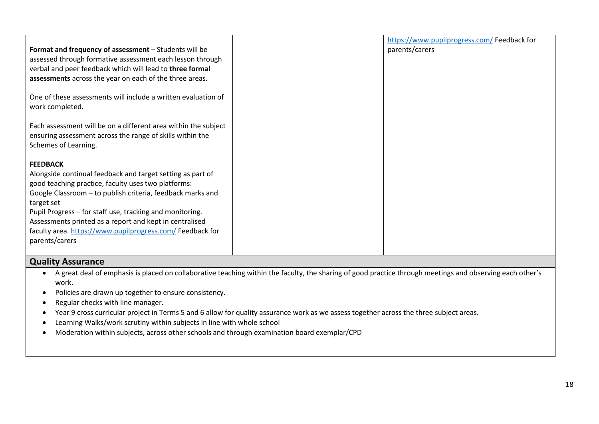|                                                                | https://www.pupilprogress.com/Feedback for |
|----------------------------------------------------------------|--------------------------------------------|
|                                                                |                                            |
| Format and frequency of assessment - Students will be          | parents/carers                             |
| assessed through formative assessment each lesson through      |                                            |
| verbal and peer feedback which will lead to three formal       |                                            |
| assessments across the year on each of the three areas.        |                                            |
|                                                                |                                            |
| One of these assessments will include a written evaluation of  |                                            |
| work completed.                                                |                                            |
|                                                                |                                            |
| Each assessment will be on a different area within the subject |                                            |
| ensuring assessment across the range of skills within the      |                                            |
| Schemes of Learning.                                           |                                            |
|                                                                |                                            |
| <b>FEEDBACK</b>                                                |                                            |
| Alongside continual feedback and target setting as part of     |                                            |
| good teaching practice, faculty uses two platforms:            |                                            |
| Google Classroom - to publish criteria, feedback marks and     |                                            |
| target set                                                     |                                            |
| Pupil Progress – for staff use, tracking and monitoring.       |                                            |
| Assessments printed as a report and kept in centralised        |                                            |
| faculty area. https://www.pupilprogress.com/Feedback for       |                                            |
|                                                                |                                            |
| parents/carers                                                 |                                            |
|                                                                |                                            |

### **Quality Assurance**

- A great deal of emphasis is placed on collaborative teaching within the faculty, the sharing of good practice through meetings and observing each other's work.
- Policies are drawn up together to ensure consistency.
- Regular checks with line manager.
- Year 9 cross curricular project in Terms 5 and 6 allow for quality assurance work as we assess together across the three subject areas.
- Learning Walks/work scrutiny within subjects in line with whole school
- Moderation within subjects, across other schools and through examination board exemplar/CPD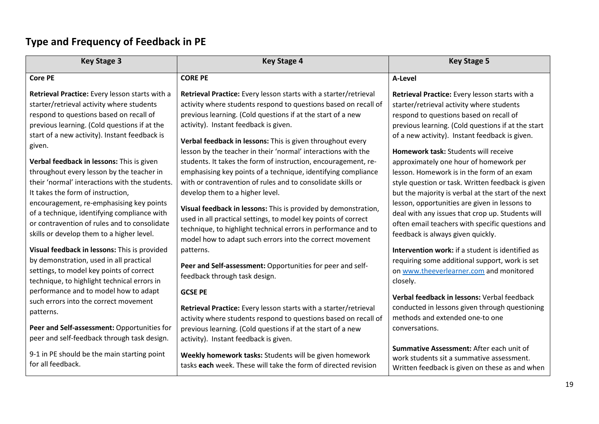# **Type and Frequency of Feedback in PE**

| <b>Key Stage 3</b>                                                                                                                                                                                                                                                                                                                                                                                                                 | <b>Key Stage 4</b>                                                                                                                                                                                                                                                                                                                                                                                                                                                                                                                                                                                              | <b>Key Stage 5</b>                                                                                                                                                                                                                                                                                                                                                                                                                                                                                |
|------------------------------------------------------------------------------------------------------------------------------------------------------------------------------------------------------------------------------------------------------------------------------------------------------------------------------------------------------------------------------------------------------------------------------------|-----------------------------------------------------------------------------------------------------------------------------------------------------------------------------------------------------------------------------------------------------------------------------------------------------------------------------------------------------------------------------------------------------------------------------------------------------------------------------------------------------------------------------------------------------------------------------------------------------------------|---------------------------------------------------------------------------------------------------------------------------------------------------------------------------------------------------------------------------------------------------------------------------------------------------------------------------------------------------------------------------------------------------------------------------------------------------------------------------------------------------|
| <b>Core PE</b>                                                                                                                                                                                                                                                                                                                                                                                                                     | <b>CORE PE</b>                                                                                                                                                                                                                                                                                                                                                                                                                                                                                                                                                                                                  | A-Level                                                                                                                                                                                                                                                                                                                                                                                                                                                                                           |
| Retrieval Practice: Every lesson starts with a<br>starter/retrieval activity where students<br>respond to questions based on recall of<br>previous learning. (Cold questions if at the<br>start of a new activity). Instant feedback is<br>given.<br>Verbal feedback in lessons: This is given<br>throughout every lesson by the teacher in<br>their 'normal' interactions with the students.<br>It takes the form of instruction, | Retrieval Practice: Every lesson starts with a starter/retrieval<br>activity where students respond to questions based on recall of<br>previous learning. (Cold questions if at the start of a new<br>activity). Instant feedback is given.<br>Verbal feedback in lessons: This is given throughout every<br>lesson by the teacher in their 'normal' interactions with the<br>students. It takes the form of instruction, encouragement, re-<br>emphasising key points of a technique, identifying compliance<br>with or contravention of rules and to consolidate skills or<br>develop them to a higher level. | Retrieval Practice: Every lesson starts with a<br>starter/retrieval activity where students<br>respond to questions based on recall of<br>previous learning. (Cold questions if at the start<br>of a new activity). Instant feedback is given.<br><b>Homework task: Students will receive</b><br>approximately one hour of homework per<br>lesson. Homework is in the form of an exam<br>style question or task. Written feedback is given<br>but the majority is verbal at the start of the next |
| encouragement, re-emphasising key points<br>of a technique, identifying compliance with<br>or contravention of rules and to consolidate<br>skills or develop them to a higher level.                                                                                                                                                                                                                                               | Visual feedback in lessons: This is provided by demonstration,<br>used in all practical settings, to model key points of correct<br>technique, to highlight technical errors in performance and to<br>model how to adapt such errors into the correct movement                                                                                                                                                                                                                                                                                                                                                  | lesson, opportunities are given in lessons to<br>deal with any issues that crop up. Students will<br>often email teachers with specific questions and<br>feedback is always given quickly.                                                                                                                                                                                                                                                                                                        |
| Visual feedback in lessons: This is provided<br>by demonstration, used in all practical<br>settings, to model key points of correct<br>technique, to highlight technical errors in                                                                                                                                                                                                                                                 | patterns.<br>Peer and Self-assessment: Opportunities for peer and self-<br>feedback through task design.                                                                                                                                                                                                                                                                                                                                                                                                                                                                                                        | <b>Intervention work:</b> if a student is identified as<br>requiring some additional support, work is set<br>on www.theeverlearner.com and monitored<br>closely.                                                                                                                                                                                                                                                                                                                                  |
| performance and to model how to adapt<br>such errors into the correct movement<br>patterns.<br>Peer and Self-assessment: Opportunities for<br>peer and self-feedback through task design.                                                                                                                                                                                                                                          | <b>GCSE PE</b><br>Retrieval Practice: Every lesson starts with a starter/retrieval<br>activity where students respond to questions based on recall of<br>previous learning. (Cold questions if at the start of a new<br>activity). Instant feedback is given.                                                                                                                                                                                                                                                                                                                                                   | Verbal feedback in lessons: Verbal feedback<br>conducted in lessons given through questioning<br>methods and extended one-to one<br>conversations.                                                                                                                                                                                                                                                                                                                                                |
| 9-1 in PE should be the main starting point<br>for all feedback.                                                                                                                                                                                                                                                                                                                                                                   | Weekly homework tasks: Students will be given homework<br>tasks each week. These will take the form of directed revision                                                                                                                                                                                                                                                                                                                                                                                                                                                                                        | Summative Assessment: After each unit of<br>work students sit a summative assessment.<br>Written feedback is given on these as and when                                                                                                                                                                                                                                                                                                                                                           |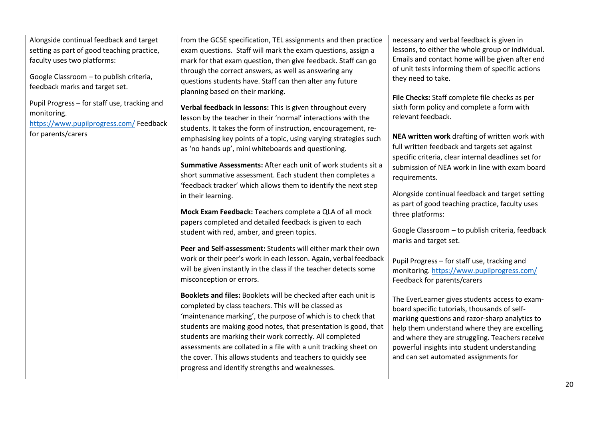| Alongside continual feedback and target<br>setting as part of good teaching practice,<br>faculty uses two platforms:<br>Google Classroom - to publish criteria,<br>feedback marks and target set.<br>Pupil Progress - for staff use, tracking and<br>monitoring.<br>https://www.pupilprogress.com/ Feedback<br>for parents/carers | from the GCSE specification, TEL assignments and then practice<br>exam questions. Staff will mark the exam questions, assign a<br>mark for that exam question, then give feedback. Staff can go<br>through the correct answers, as well as answering any<br>questions students have. Staff can then alter any future<br>planning based on their marking.<br>Verbal feedback in lessons: This is given throughout every<br>lesson by the teacher in their 'normal' interactions with the<br>students. It takes the form of instruction, encouragement, re-<br>emphasising key points of a topic, using varying strategies such<br>as 'no hands up', mini whiteboards and questioning.<br>Summative Assessments: After each unit of work students sit a<br>short summative assessment. Each student then completes a<br>'feedback tracker' which allows them to identify the next step<br>in their learning.<br>Mock Exam Feedback: Teachers complete a QLA of all mock<br>papers completed and detailed feedback is given to each<br>student with red, amber, and green topics.<br>Peer and Self-assessment: Students will either mark their own<br>work or their peer's work in each lesson. Again, verbal feedback<br>will be given instantly in the class if the teacher detects some<br>misconception or errors.<br>Booklets and files: Booklets will be checked after each unit is<br>completed by class teachers. This will be classed as<br>'maintenance marking', the purpose of which is to check that<br>students are making good notes, that presentation is good, that<br>students are marking their work correctly. All completed<br>assessments are collated in a file with a unit tracking sheet on<br>the cover. This allows students and teachers to quickly see<br>progress and identify strengths and weaknesses. | necessary and verbal feedback is given in<br>lessons, to either the whole group or individual.<br>Emails and contact home will be given after end<br>of unit tests informing them of specific actions<br>they need to take.<br>File Checks: Staff complete file checks as per<br>sixth form policy and complete a form with<br>relevant feedback.<br>NEA written work drafting of written work with<br>full written feedback and targets set against<br>specific criteria, clear internal deadlines set for<br>submission of NEA work in line with exam board<br>requirements.<br>Alongside continual feedback and target setting<br>as part of good teaching practice, faculty uses<br>three platforms:<br>Google Classroom - to publish criteria, feedback<br>marks and target set.<br>Pupil Progress - for staff use, tracking and<br>monitoring. https://www.pupilprogress.com/<br>Feedback for parents/carers<br>The EverLearner gives students access to exam-<br>board specific tutorials, thousands of self-<br>marking questions and razor-sharp analytics to<br>help them understand where they are excelling<br>and where they are struggling. Teachers receive<br>powerful insights into student understanding<br>and can set automated assignments for |
|-----------------------------------------------------------------------------------------------------------------------------------------------------------------------------------------------------------------------------------------------------------------------------------------------------------------------------------|-------------------------------------------------------------------------------------------------------------------------------------------------------------------------------------------------------------------------------------------------------------------------------------------------------------------------------------------------------------------------------------------------------------------------------------------------------------------------------------------------------------------------------------------------------------------------------------------------------------------------------------------------------------------------------------------------------------------------------------------------------------------------------------------------------------------------------------------------------------------------------------------------------------------------------------------------------------------------------------------------------------------------------------------------------------------------------------------------------------------------------------------------------------------------------------------------------------------------------------------------------------------------------------------------------------------------------------------------------------------------------------------------------------------------------------------------------------------------------------------------------------------------------------------------------------------------------------------------------------------------------------------------------------------------------------------------------------------------------------------------------------------------------------------------------------------------------------|---------------------------------------------------------------------------------------------------------------------------------------------------------------------------------------------------------------------------------------------------------------------------------------------------------------------------------------------------------------------------------------------------------------------------------------------------------------------------------------------------------------------------------------------------------------------------------------------------------------------------------------------------------------------------------------------------------------------------------------------------------------------------------------------------------------------------------------------------------------------------------------------------------------------------------------------------------------------------------------------------------------------------------------------------------------------------------------------------------------------------------------------------------------------------------------------------------------------------------------------------------------------|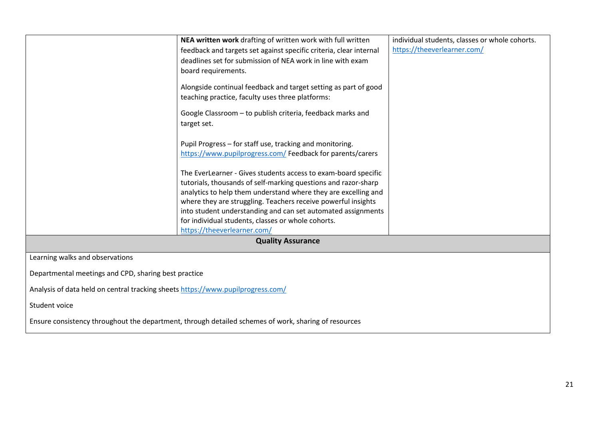|                                                                                                      | NEA written work drafting of written work with full written        | individual students, classes or whole cohorts. |  |  |  |  |
|------------------------------------------------------------------------------------------------------|--------------------------------------------------------------------|------------------------------------------------|--|--|--|--|
|                                                                                                      | feedback and targets set against specific criteria, clear internal | https://theeverlearner.com/                    |  |  |  |  |
|                                                                                                      | deadlines set for submission of NEA work in line with exam         |                                                |  |  |  |  |
|                                                                                                      | board requirements.                                                |                                                |  |  |  |  |
|                                                                                                      |                                                                    |                                                |  |  |  |  |
|                                                                                                      | Alongside continual feedback and target setting as part of good    |                                                |  |  |  |  |
|                                                                                                      | teaching practice, faculty uses three platforms:                   |                                                |  |  |  |  |
|                                                                                                      | Google Classroom - to publish criteria, feedback marks and         |                                                |  |  |  |  |
|                                                                                                      | target set.                                                        |                                                |  |  |  |  |
|                                                                                                      |                                                                    |                                                |  |  |  |  |
|                                                                                                      | Pupil Progress - for staff use, tracking and monitoring.           |                                                |  |  |  |  |
|                                                                                                      | https://www.pupilprogress.com/ Feedback for parents/carers         |                                                |  |  |  |  |
|                                                                                                      |                                                                    |                                                |  |  |  |  |
|                                                                                                      | The EverLearner - Gives students access to exam-board specific     |                                                |  |  |  |  |
|                                                                                                      | tutorials, thousands of self-marking questions and razor-sharp     |                                                |  |  |  |  |
|                                                                                                      | analytics to help them understand where they are excelling and     |                                                |  |  |  |  |
|                                                                                                      | where they are struggling. Teachers receive powerful insights      |                                                |  |  |  |  |
|                                                                                                      | into student understanding and can set automated assignments       |                                                |  |  |  |  |
|                                                                                                      | for individual students, classes or whole cohorts.                 |                                                |  |  |  |  |
|                                                                                                      | https://theeverlearner.com/                                        |                                                |  |  |  |  |
|                                                                                                      | <b>Quality Assurance</b>                                           |                                                |  |  |  |  |
| Learning walks and observations                                                                      |                                                                    |                                                |  |  |  |  |
| Departmental meetings and CPD, sharing best practice                                                 |                                                                    |                                                |  |  |  |  |
|                                                                                                      |                                                                    |                                                |  |  |  |  |
| Analysis of data held on central tracking sheets https://www.pupilprogress.com/                      |                                                                    |                                                |  |  |  |  |
| Student voice                                                                                        |                                                                    |                                                |  |  |  |  |
| Ensure consistency throughout the department, through detailed schemes of work, sharing of resources |                                                                    |                                                |  |  |  |  |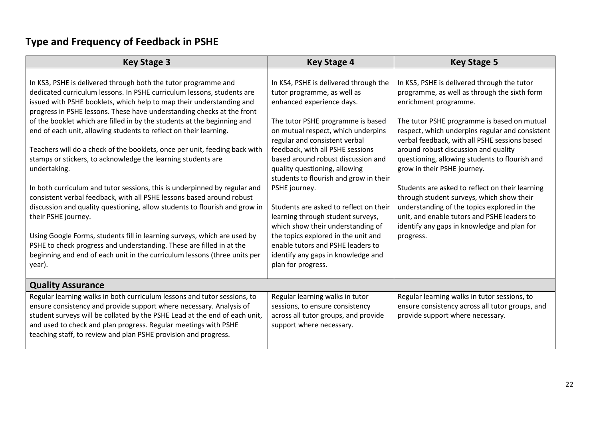# **Type and Frequency of Feedback in PSHE**

| <b>Key Stage 3</b>                                                                                                                                                                                                                                                                                                                                                                                                                                                                                                                                                                                                                                                                                                                                                                                                                                                                                                                                                                                                                                                                                             | <b>Key Stage 4</b>                                                                                                                                                                                                                                                                                                                                                                                                                                                                                                                                                                                                                              | <b>Key Stage 5</b>                                                                                                                                                                                                                                                                                                                                                                                                                                                                                                                                                                                                                                         |
|----------------------------------------------------------------------------------------------------------------------------------------------------------------------------------------------------------------------------------------------------------------------------------------------------------------------------------------------------------------------------------------------------------------------------------------------------------------------------------------------------------------------------------------------------------------------------------------------------------------------------------------------------------------------------------------------------------------------------------------------------------------------------------------------------------------------------------------------------------------------------------------------------------------------------------------------------------------------------------------------------------------------------------------------------------------------------------------------------------------|-------------------------------------------------------------------------------------------------------------------------------------------------------------------------------------------------------------------------------------------------------------------------------------------------------------------------------------------------------------------------------------------------------------------------------------------------------------------------------------------------------------------------------------------------------------------------------------------------------------------------------------------------|------------------------------------------------------------------------------------------------------------------------------------------------------------------------------------------------------------------------------------------------------------------------------------------------------------------------------------------------------------------------------------------------------------------------------------------------------------------------------------------------------------------------------------------------------------------------------------------------------------------------------------------------------------|
| In KS3, PSHE is delivered through both the tutor programme and<br>dedicated curriculum lessons. In PSHE curriculum lessons, students are<br>issued with PSHE booklets, which help to map their understanding and<br>progress in PSHE lessons. These have understanding checks at the front<br>of the booklet which are filled in by the students at the beginning and<br>end of each unit, allowing students to reflect on their learning.<br>Teachers will do a check of the booklets, once per unit, feeding back with<br>stamps or stickers, to acknowledge the learning students are<br>undertaking.<br>In both curriculum and tutor sessions, this is underpinned by regular and<br>consistent verbal feedback, with all PSHE lessons based around robust<br>discussion and quality questioning, allow students to flourish and grow in<br>their PSHE journey.<br>Using Google Forms, students fill in learning surveys, which are used by<br>PSHE to check progress and understanding. These are filled in at the<br>beginning and end of each unit in the curriculum lessons (three units per<br>year). | In KS4, PSHE is delivered through the<br>tutor programme, as well as<br>enhanced experience days.<br>The tutor PSHE programme is based<br>on mutual respect, which underpins<br>regular and consistent verbal<br>feedback, with all PSHE sessions<br>based around robust discussion and<br>quality questioning, allowing<br>students to flourish and grow in their<br>PSHE journey.<br>Students are asked to reflect on their<br>learning through student surveys,<br>which show their understanding of<br>the topics explored in the unit and<br>enable tutors and PSHE leaders to<br>identify any gaps in knowledge and<br>plan for progress. | In KS5, PSHE is delivered through the tutor<br>programme, as well as through the sixth form<br>enrichment programme.<br>The tutor PSHE programme is based on mutual<br>respect, which underpins regular and consistent<br>verbal feedback, with all PSHE sessions based<br>around robust discussion and quality<br>questioning, allowing students to flourish and<br>grow in their PSHE journey.<br>Students are asked to reflect on their learning<br>through student surveys, which show their<br>understanding of the topics explored in the<br>unit, and enable tutors and PSHE leaders to<br>identify any gaps in knowledge and plan for<br>progress. |
| <b>Quality Assurance</b>                                                                                                                                                                                                                                                                                                                                                                                                                                                                                                                                                                                                                                                                                                                                                                                                                                                                                                                                                                                                                                                                                       |                                                                                                                                                                                                                                                                                                                                                                                                                                                                                                                                                                                                                                                 |                                                                                                                                                                                                                                                                                                                                                                                                                                                                                                                                                                                                                                                            |
| Regular learning walks in both curriculum lessons and tutor sessions, to<br>ensure consistency and provide support where necessary. Analysis of<br>student surveys will be collated by the PSHE Lead at the end of each unit,<br>and used to check and plan progress. Regular meetings with PSHE<br>teaching staff, to review and plan PSHE provision and progress.                                                                                                                                                                                                                                                                                                                                                                                                                                                                                                                                                                                                                                                                                                                                            | Regular learning walks in tutor<br>sessions, to ensure consistency<br>across all tutor groups, and provide<br>support where necessary.                                                                                                                                                                                                                                                                                                                                                                                                                                                                                                          | Regular learning walks in tutor sessions, to<br>ensure consistency across all tutor groups, and<br>provide support where necessary.                                                                                                                                                                                                                                                                                                                                                                                                                                                                                                                        |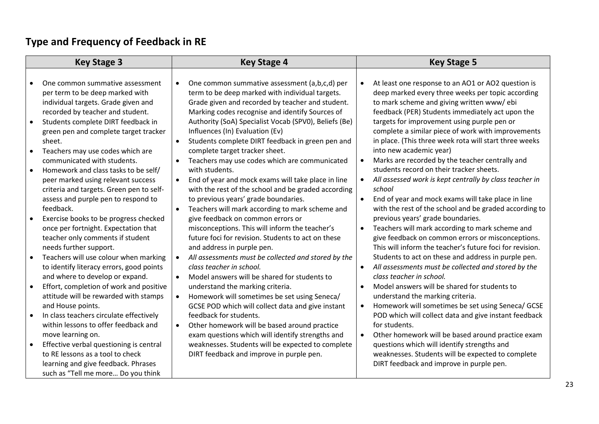# **Type and Frequency of Feedback in RE**

| <b>Key Stage 3</b> |                                                                                                                                                                                                                                                                                                                                                                                                                                                                                                                                                                                                                                                                                 | <b>Key Stage 4</b>                                                                                                                                                                                                                                                                                                                                                                                                                                                                                                                                                                                                                                                                                                                                                                                                                                                                                                                            |                                                               | <b>Key Stage 5</b>                                                                                                                                                                                                                                                                                                                                                                                                                                                                                                                                                                                                                                                                                                                                                                                                                                                                                                                                     |  |
|--------------------|---------------------------------------------------------------------------------------------------------------------------------------------------------------------------------------------------------------------------------------------------------------------------------------------------------------------------------------------------------------------------------------------------------------------------------------------------------------------------------------------------------------------------------------------------------------------------------------------------------------------------------------------------------------------------------|-----------------------------------------------------------------------------------------------------------------------------------------------------------------------------------------------------------------------------------------------------------------------------------------------------------------------------------------------------------------------------------------------------------------------------------------------------------------------------------------------------------------------------------------------------------------------------------------------------------------------------------------------------------------------------------------------------------------------------------------------------------------------------------------------------------------------------------------------------------------------------------------------------------------------------------------------|---------------------------------------------------------------|--------------------------------------------------------------------------------------------------------------------------------------------------------------------------------------------------------------------------------------------------------------------------------------------------------------------------------------------------------------------------------------------------------------------------------------------------------------------------------------------------------------------------------------------------------------------------------------------------------------------------------------------------------------------------------------------------------------------------------------------------------------------------------------------------------------------------------------------------------------------------------------------------------------------------------------------------------|--|
|                    | One common summative assessment<br>per term to be deep marked with<br>individual targets. Grade given and<br>recorded by teacher and student.<br>Students complete DIRT feedback in<br>green pen and complete target tracker<br>sheet.<br>Teachers may use codes which are<br>communicated with students.<br>Homework and class tasks to be self/<br>peer marked using relevant success<br>criteria and targets. Green pen to self-<br>assess and purple pen to respond to<br>feedback.<br>Exercise books to be progress checked<br>once per fortnight. Expectation that<br>teacher only comments if student<br>needs further support.<br>Teachers will use colour when marking | One common summative assessment (a,b,c,d) per<br>term to be deep marked with individual targets.<br>Grade given and recorded by teacher and student.<br>Marking codes recognise and identify Sources of<br>Authority (SoA) Specialist Vocab (SPV0), Beliefs (Be)<br>Influences (In) Evaluation (Ev)<br>Students complete DIRT feedback in green pen and<br>$\bullet$<br>complete target tracker sheet.<br>Teachers may use codes which are communicated<br>with students.<br>End of year and mock exams will take place in line<br>$\bullet$<br>with the rest of the school and be graded according<br>to previous years' grade boundaries.<br>Teachers will mark according to mark scheme and<br>$\bullet$<br>give feedback on common errors or<br>misconceptions. This will inform the teacher's<br>future foci for revision. Students to act on these<br>and address in purple pen.<br>All assessments must be collected and stored by the | $\bullet$<br>$\bullet$<br>$\bullet$<br>$\bullet$<br>$\bullet$ | At least one response to an AO1 or AO2 question is<br>deep marked every three weeks per topic according<br>to mark scheme and giving written www/ebi<br>feedback (PER) Students immediately act upon the<br>targets for improvement using purple pen or<br>complete a similar piece of work with improvements<br>in place. (This three week rota will start three weeks<br>into new academic year)<br>Marks are recorded by the teacher centrally and<br>students record on their tracker sheets.<br>All assessed work is kept centrally by class teacher in<br>school<br>End of year and mock exams will take place in line<br>with the rest of the school and be graded according to<br>previous years' grade boundaries.<br>Teachers will mark according to mark scheme and<br>give feedback on common errors or misconceptions.<br>This will inform the teacher's future foci for revision.<br>Students to act on these and address in purple pen. |  |
|                    | to identify literacy errors, good points<br>and where to develop or expand.<br>Effort, completion of work and positive<br>attitude will be rewarded with stamps<br>and House points.<br>In class teachers circulate effectively<br>within lessons to offer feedback and<br>move learning on.<br>Effective verbal questioning is central<br>to RE lessons as a tool to check<br>learning and give feedback. Phrases<br>such as "Tell me more Do you think                                                                                                                                                                                                                        | class teacher in school.<br>Model answers will be shared for students to<br>$\bullet$<br>understand the marking criteria.<br>Homework will sometimes be set using Seneca/<br>GCSE POD which will collect data and give instant<br>feedback for students.<br>Other homework will be based around practice<br>$\bullet$<br>exam questions which will identify strengths and<br>weaknesses. Students will be expected to complete<br>DIRT feedback and improve in purple pen.                                                                                                                                                                                                                                                                                                                                                                                                                                                                    | $\bullet$<br>$\bullet$<br>$\bullet$<br>$\bullet$              | All assessments must be collected and stored by the<br>class teacher in school.<br>Model answers will be shared for students to<br>understand the marking criteria.<br>Homework will sometimes be set using Seneca/ GCSE<br>POD which will collect data and give instant feedback<br>for students.<br>Other homework will be based around practice exam<br>questions which will identify strengths and<br>weaknesses. Students will be expected to complete<br>DIRT feedback and improve in purple pen.                                                                                                                                                                                                                                                                                                                                                                                                                                                |  |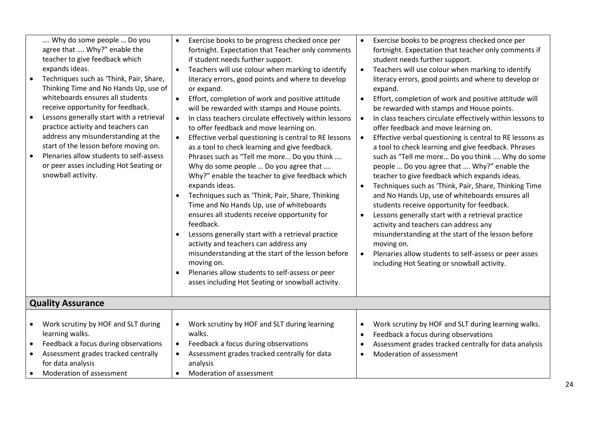|           | Why do some people  Do you<br>agree that  Why?" enable the<br>teacher to give feedback which<br>expands ideas.<br>Techniques such as 'Think, Pair, Share,<br>Thinking Time and No Hands Up, use of<br>whiteboards ensures all students<br>receive opportunity for feedback.<br>Lessons generally start with a retrieval<br>practice activity and teachers can<br>address any misunderstanding at the<br>start of the lesson before moving on.<br>Plenaries allow students to self-assess<br>or peer asses including Hot Seating or<br>snowball activity. | $\bullet$<br>$\bullet$<br>$\bullet$ | Exercise books to be progress checked once per<br>fortnight. Expectation that Teacher only comments<br>if student needs further support.<br>Teachers will use colour when marking to identify<br>literacy errors, good points and where to develop<br>or expand.<br>Effort, completion of work and positive attitude<br>will be rewarded with stamps and House points.<br>In class teachers circulate effectively within lessons<br>to offer feedback and move learning on.<br>Effective verbal questioning is central to RE lessons<br>as a tool to check learning and give feedback.<br>Phrases such as "Tell me more Do you think<br>Why do some people  Do you agree that<br>Why?" enable the teacher to give feedback which<br>expands ideas.<br>Techniques such as 'Think, Pair, Share, Thinking<br>Time and No Hands Up, use of whiteboards<br>ensures all students receive opportunity for<br>feedback.<br>Lessons generally start with a retrieval practice<br>activity and teachers can address any<br>misunderstanding at the start of the lesson before<br>moving on.<br>Plenaries allow students to self-assess or peer<br>asses including Hot Seating or snowball activity. | $\bullet$<br>$\bullet$<br>$\bullet$<br>$\bullet$<br>$\bullet$<br>$\bullet$<br>$\bullet$<br>$\bullet$ | Exercise books to be progress checked once per<br>fortnight. Expectation that teacher only comments if<br>student needs further support.<br>Teachers will use colour when marking to identify<br>literacy errors, good points and where to develop or<br>expand.<br>Effort, completion of work and positive attitude will<br>be rewarded with stamps and House points.<br>In class teachers circulate effectively within lessons to<br>offer feedback and move learning on.<br>Effective verbal questioning is central to RE lessons as<br>a tool to check learning and give feedback. Phrases<br>such as "Tell me more Do you think  Why do some<br>people  Do you agree that  Why?" enable the<br>teacher to give feedback which expands ideas.<br>Techniques such as 'Think, Pair, Share, Thinking Time<br>and No Hands Up, use of whiteboards ensures all<br>students receive opportunity for feedback.<br>Lessons generally start with a retrieval practice<br>activity and teachers can address any<br>misunderstanding at the start of the lesson before<br>moving on.<br>Plenaries allow students to self-assess or peer asses<br>including Hot Seating or snowball activity. |
|-----------|----------------------------------------------------------------------------------------------------------------------------------------------------------------------------------------------------------------------------------------------------------------------------------------------------------------------------------------------------------------------------------------------------------------------------------------------------------------------------------------------------------------------------------------------------------|-------------------------------------|-------------------------------------------------------------------------------------------------------------------------------------------------------------------------------------------------------------------------------------------------------------------------------------------------------------------------------------------------------------------------------------------------------------------------------------------------------------------------------------------------------------------------------------------------------------------------------------------------------------------------------------------------------------------------------------------------------------------------------------------------------------------------------------------------------------------------------------------------------------------------------------------------------------------------------------------------------------------------------------------------------------------------------------------------------------------------------------------------------------------------------------------------------------------------------------------|------------------------------------------------------------------------------------------------------|---------------------------------------------------------------------------------------------------------------------------------------------------------------------------------------------------------------------------------------------------------------------------------------------------------------------------------------------------------------------------------------------------------------------------------------------------------------------------------------------------------------------------------------------------------------------------------------------------------------------------------------------------------------------------------------------------------------------------------------------------------------------------------------------------------------------------------------------------------------------------------------------------------------------------------------------------------------------------------------------------------------------------------------------------------------------------------------------------------------------------------------------------------------------------------------|
|           | <b>Quality Assurance</b>                                                                                                                                                                                                                                                                                                                                                                                                                                                                                                                                 |                                     |                                                                                                                                                                                                                                                                                                                                                                                                                                                                                                                                                                                                                                                                                                                                                                                                                                                                                                                                                                                                                                                                                                                                                                                           |                                                                                                      |                                                                                                                                                                                                                                                                                                                                                                                                                                                                                                                                                                                                                                                                                                                                                                                                                                                                                                                                                                                                                                                                                                                                                                                       |
| $\bullet$ | Work scrutiny by HOF and SLT during<br>learning walks.<br>Feedback a focus during observations<br>Assessment grades tracked centrally<br>for data analysis<br>Moderation of assessment                                                                                                                                                                                                                                                                                                                                                                   | $\bullet$                           | Work scrutiny by HOF and SLT during learning<br>walks.<br>Feedback a focus during observations<br>Assessment grades tracked centrally for data<br>analysis<br>Moderation of assessment                                                                                                                                                                                                                                                                                                                                                                                                                                                                                                                                                                                                                                                                                                                                                                                                                                                                                                                                                                                                    |                                                                                                      | Work scrutiny by HOF and SLT during learning walks.<br>Feedback a focus during observations<br>Assessment grades tracked centrally for data analysis<br>Moderation of assessment                                                                                                                                                                                                                                                                                                                                                                                                                                                                                                                                                                                                                                                                                                                                                                                                                                                                                                                                                                                                      |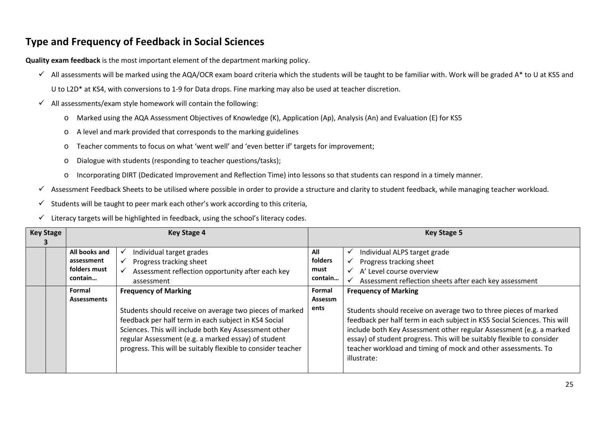### **Type and Frequency of Feedback in Social Sciences**

**Quality exam feedback** is the most important element of the department marking policy.

All assessments will be marked using the AQA/OCR exam board criteria which the students will be taught to be familiar with. Work will be graded A\* to U at KS5 and

U to L2D\* at KS4, with conversions to 1-9 for Data drops. Fine marking may also be used at teacher discretion.

- $\checkmark$  All assessments/exam style homework will contain the following:
	- o Marked using the AQA Assessment Objectives of Knowledge (K), Application (Ap), Analysis (An) and Evaluation (E) for KS5
	- o A level and mark provided that corresponds to the marking guidelines
	- o Teacher comments to focus on what 'went well' and 'even better if' targets for improvement;
	- o Dialogue with students (responding to teacher questions/tasks);
	- o Incorporating DIRT (Dedicated Improvement and Reflection Time) into lessons so that students can respond in a timely manner.
- $\checkmark$  Assessment Feedback Sheets to be utilised where possible in order to provide a structure and clarity to student feedback, while managing teacher workload.
- $\checkmark$  Students will be taught to peer mark each other's work according to this criteria,
- $\checkmark$  Literacy targets will be highlighted in feedback, using the school's literacy codes.

| <b>Key Stage</b> |                                             | <b>Key Stage 4</b>                                                                                                                                                                                                                                                                              | <b>Key Stage 5</b>     |                                                                                                                                                                                                                                                                                                                                                                               |  |
|------------------|---------------------------------------------|-------------------------------------------------------------------------------------------------------------------------------------------------------------------------------------------------------------------------------------------------------------------------------------------------|------------------------|-------------------------------------------------------------------------------------------------------------------------------------------------------------------------------------------------------------------------------------------------------------------------------------------------------------------------------------------------------------------------------|--|
|                  | All books and<br>assessment<br>folders must | Individual target grades<br>Progress tracking sheet<br>Assessment reflection opportunity after each key<br>✓                                                                                                                                                                                    | All<br>folders<br>must | Individual ALPS target grade<br>v<br>Progress tracking sheet<br>$\checkmark$<br>A' Level course overview<br>$\checkmark$                                                                                                                                                                                                                                                      |  |
|                  | contain                                     | assessment                                                                                                                                                                                                                                                                                      | contain                | Assessment reflection sheets after each key assessment                                                                                                                                                                                                                                                                                                                        |  |
|                  | <b>Frequency of Marking</b><br>Formal       |                                                                                                                                                                                                                                                                                                 | Formal                 | <b>Frequency of Marking</b>                                                                                                                                                                                                                                                                                                                                                   |  |
|                  | <b>Assessments</b>                          | Students should receive on average two pieces of marked<br>feedback per half term in each subject in KS4 Social<br>Sciences. This will include both Key Assessment other<br>regular Assessment (e.g. a marked essay) of student<br>progress. This will be suitably flexible to consider teacher | Assessm<br>ents        | Students should receive on average two to three pieces of marked<br>feedback per half term in each subject in KS5 Social Sciences. This will<br>include both Key Assessment other regular Assessment (e.g. a marked<br>essay) of student progress. This will be suitably flexible to consider<br>teacher workload and timing of mock and other assessments. To<br>illustrate: |  |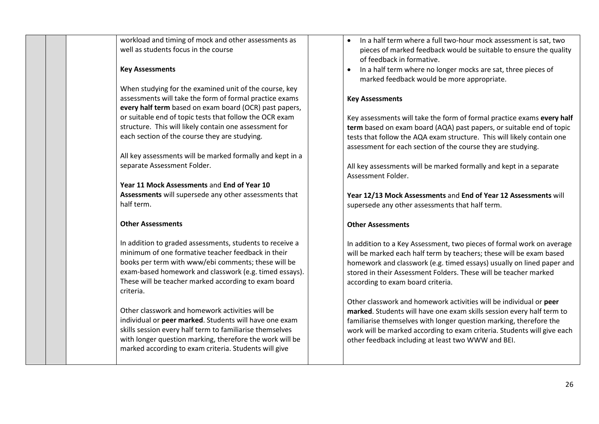workload and timing of mock and other assessments as well as students focus in the course

### **Key Assessments**

When studying for the examined unit of the course, key assessments will take the form of formal practice exams **every half term** based on exam board (OCR) past papers, or suitable end of topic tests that follow the OCR exam structure. This will likely contain one assessment for each section of the course they are studying.

All key assessments will be marked formally and kept in a separate Assessment Folder.

**Year 11 Mock Assessments** and **End of Year 10 Assessments** will supersede any other assessments that half term.

### **Other Assessments**

In addition to graded assessments, students to receive a minimum of one formative teacher feedback in their books per term with www/ebi comments; these will be exam-based homework and classwork (e.g. timed essays). These will be teacher marked according to exam board criteria.

Other classwork and homework activities will be individual or **peer marked**. Students will have one exam skills session every half term to familiarise themselves with longer question marking, therefore the work will be marked according to exam criteria. Students will give

- In a half term where a full two-hour mock assessment is sat, two pieces of marked feedback would be suitable to ensure the quality of feedback in formative.
- In a half term where no longer mocks are sat, three pieces of marked feedback would be more appropriate.

### **Key Assessments**

Key assessments will take the form of formal practice exams **every half term** based on exam board (AQA) past papers, or suitable end of topic tests that follow the AQA exam structure. This will likely contain one assessment for each section of the course they are studying.

All key assessments will be marked formally and kept in a separate Assessment Folder.

**Year 12/13 Mock Assessments** and **End of Year 12 Assessments** will supersede any other assessments that half term.

### **Other Assessments**

In addition to a Key Assessment, two pieces of formal work on average will be marked each half term by teachers; these will be exam based homework and classwork (e.g. timed essays) usually on lined paper and stored in their Assessment Folders. These will be teacher marked according to exam board criteria.

Other classwork and homework activities will be individual or **peer marked**. Students will have one exam skills session every half term to familiarise themselves with longer question marking, therefore the work will be marked according to exam criteria. Students will give each other feedback including at least two WWW and BEI.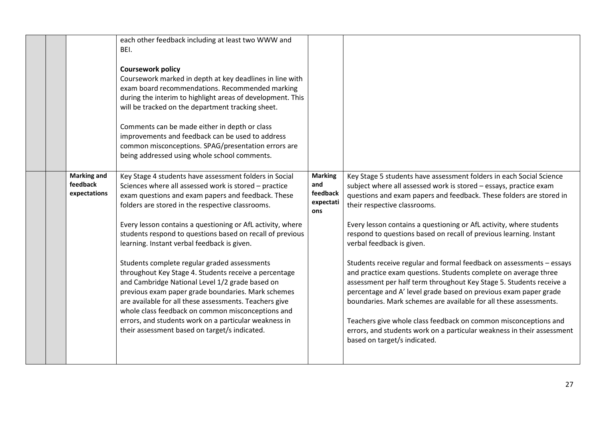|                                                | each other feedback including at least two WWW and<br>BEI.<br><b>Coursework policy</b><br>Coursework marked in depth at key deadlines in line with<br>exam board recommendations. Recommended marking<br>during the interim to highlight areas of development. This<br>will be tracked on the department tracking sheet.<br>Comments can be made either in depth or class<br>improvements and feedback can be used to address<br>common misconceptions. SPAG/presentation errors are<br>being addressed using whole school comments.                                                                                                                                                                                                                                                                                                           |                                                       |                                                                                                                                                                                                                                                                                                                                                                                                                                                                                                                                                                                                                                                                                                                                                                                                                                                                                                                                                                   |
|------------------------------------------------|------------------------------------------------------------------------------------------------------------------------------------------------------------------------------------------------------------------------------------------------------------------------------------------------------------------------------------------------------------------------------------------------------------------------------------------------------------------------------------------------------------------------------------------------------------------------------------------------------------------------------------------------------------------------------------------------------------------------------------------------------------------------------------------------------------------------------------------------|-------------------------------------------------------|-------------------------------------------------------------------------------------------------------------------------------------------------------------------------------------------------------------------------------------------------------------------------------------------------------------------------------------------------------------------------------------------------------------------------------------------------------------------------------------------------------------------------------------------------------------------------------------------------------------------------------------------------------------------------------------------------------------------------------------------------------------------------------------------------------------------------------------------------------------------------------------------------------------------------------------------------------------------|
| <b>Marking and</b><br>feedback<br>expectations | Key Stage 4 students have assessment folders in Social<br>Sciences where all assessed work is stored - practice<br>exam questions and exam papers and feedback. These<br>folders are stored in the respective classrooms.<br>Every lesson contains a questioning or AfL activity, where<br>students respond to questions based on recall of previous<br>learning. Instant verbal feedback is given.<br>Students complete regular graded assessments<br>throughout Key Stage 4. Students receive a percentage<br>and Cambridge National Level 1/2 grade based on<br>previous exam paper grade boundaries. Mark schemes<br>are available for all these assessments. Teachers give<br>whole class feedback on common misconceptions and<br>errors, and students work on a particular weakness in<br>their assessment based on target/s indicated. | <b>Marking</b><br>and<br>feedback<br>expectati<br>ons | Key Stage 5 students have assessment folders in each Social Science<br>subject where all assessed work is stored - essays, practice exam<br>questions and exam papers and feedback. These folders are stored in<br>their respective classrooms.<br>Every lesson contains a questioning or AfL activity, where students<br>respond to questions based on recall of previous learning. Instant<br>verbal feedback is given.<br>Students receive regular and formal feedback on assessments - essays<br>and practice exam questions. Students complete on average three<br>assessment per half term throughout Key Stage 5. Students receive a<br>percentage and A' level grade based on previous exam paper grade<br>boundaries. Mark schemes are available for all these assessments.<br>Teachers give whole class feedback on common misconceptions and<br>errors, and students work on a particular weakness in their assessment<br>based on target/s indicated. |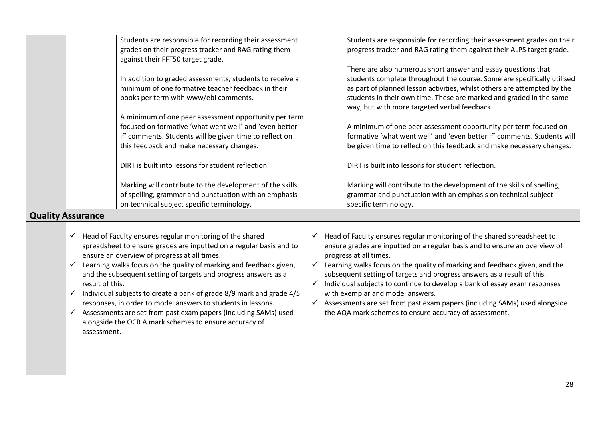|  |                          |                 | Students are responsible for recording their assessment              | Students are responsible for recording their assessment grades on their    |
|--|--------------------------|-----------------|----------------------------------------------------------------------|----------------------------------------------------------------------------|
|  |                          |                 | grades on their progress tracker and RAG rating them                 | progress tracker and RAG rating them against their ALPS target grade.      |
|  |                          |                 | against their FFT50 target grade.                                    |                                                                            |
|  |                          |                 |                                                                      | There are also numerous short answer and essay questions that              |
|  |                          |                 | In addition to graded assessments, students to receive a             | students complete throughout the course. Some are specifically utilised    |
|  |                          |                 | minimum of one formative teacher feedback in their                   | as part of planned lesson activities, whilst others are attempted by the   |
|  |                          |                 | books per term with www/ebi comments.                                | students in their own time. These are marked and graded in the same        |
|  |                          |                 |                                                                      | way, but with more targeted verbal feedback.                               |
|  |                          |                 | A minimum of one peer assessment opportunity per term                |                                                                            |
|  |                          |                 | focused on formative 'what went well' and 'even better               | A minimum of one peer assessment opportunity per term focused on           |
|  |                          |                 | if' comments. Students will be given time to reflect on              | formative 'what went well' and 'even better if' comments. Students will    |
|  |                          |                 | this feedback and make necessary changes.                            | be given time to reflect on this feedback and make necessary changes.      |
|  |                          |                 |                                                                      |                                                                            |
|  |                          |                 | DIRT is built into lessons for student reflection.                   | DIRT is built into lessons for student reflection.                         |
|  |                          |                 |                                                                      |                                                                            |
|  |                          |                 | Marking will contribute to the development of the skills             | Marking will contribute to the development of the skills of spelling,      |
|  |                          |                 | of spelling, grammar and punctuation with an emphasis                | grammar and punctuation with an emphasis on technical subject              |
|  |                          |                 | on technical subject specific terminology.                           | specific terminology.                                                      |
|  | <b>Quality Assurance</b> |                 |                                                                      |                                                                            |
|  |                          |                 |                                                                      |                                                                            |
|  |                          |                 | Head of Faculty ensures regular monitoring of the shared             | Head of Faculty ensures regular monitoring of the shared spreadsheet to    |
|  |                          |                 | spreadsheet to ensure grades are inputted on a regular basis and to  | ensure grades are inputted on a regular basis and to ensure an overview of |
|  |                          |                 | ensure an overview of progress at all times.                         | progress at all times.                                                     |
|  |                          |                 | Learning walks focus on the quality of marking and feedback given,   | Learning walks focus on the quality of marking and feedback given, and the |
|  |                          |                 | and the subsequent setting of targets and progress answers as a      | subsequent setting of targets and progress answers as a result of this.    |
|  |                          | result of this. |                                                                      | Individual subjects to continue to develop a bank of essay exam responses  |
|  | ✓                        |                 | Individual subjects to create a bank of grade 8/9 mark and grade 4/5 | with exemplar and model answers.                                           |
|  |                          |                 | responses, in order to model answers to students in lessons.         | Assessments are set from past exam papers (including SAMs) used alongside  |
|  | ✓                        |                 | Assessments are set from past exam papers (including SAMs) used      | the AQA mark schemes to ensure accuracy of assessment.                     |
|  |                          |                 | alongside the OCR A mark schemes to ensure accuracy of               |                                                                            |
|  |                          | assessment.     |                                                                      |                                                                            |
|  |                          |                 |                                                                      |                                                                            |
|  |                          |                 |                                                                      |                                                                            |
|  |                          |                 |                                                                      |                                                                            |
|  |                          |                 |                                                                      |                                                                            |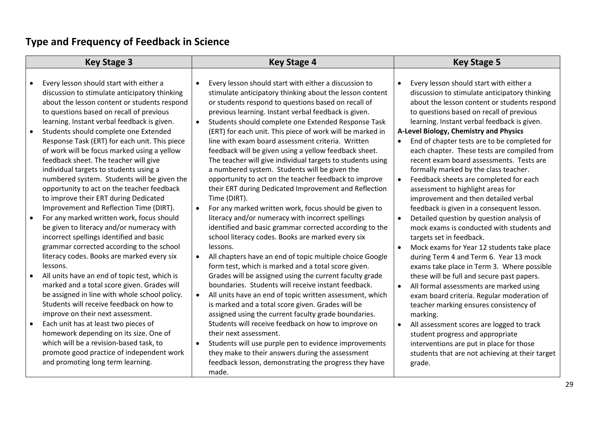# **Type and Frequency of Feedback in Science**

| <b>Key Stage 3</b> |                                                                                                                                                                                                                                                                                                                                                               | <b>Key Stage 4</b> |                                                                                                                                                                                                                                                                                                                                                                                                               | <b>Key Stage 5</b> |                                                                                                                                                                                                                                                                                                                                 |
|--------------------|---------------------------------------------------------------------------------------------------------------------------------------------------------------------------------------------------------------------------------------------------------------------------------------------------------------------------------------------------------------|--------------------|---------------------------------------------------------------------------------------------------------------------------------------------------------------------------------------------------------------------------------------------------------------------------------------------------------------------------------------------------------------------------------------------------------------|--------------------|---------------------------------------------------------------------------------------------------------------------------------------------------------------------------------------------------------------------------------------------------------------------------------------------------------------------------------|
|                    | Every lesson should start with either a<br>discussion to stimulate anticipatory thinking<br>about the lesson content or students respond<br>to questions based on recall of previous                                                                                                                                                                          | $\bullet$          | Every lesson should start with either a discussion to<br>stimulate anticipatory thinking about the lesson content<br>or students respond to questions based on recall of<br>previous learning. Instant verbal feedback is given.                                                                                                                                                                              | $\bullet$          | Every lesson should start with either a<br>discussion to stimulate anticipatory thinking<br>about the lesson content or students respond<br>to questions based on recall of previous                                                                                                                                            |
|                    | learning. Instant verbal feedback is given.<br>Students should complete one Extended<br>Response Task (ERT) for each unit. This piece<br>of work will be focus marked using a yellow<br>feedback sheet. The teacher will give                                                                                                                                 | $\bullet$          | Students should complete one Extended Response Task<br>(ERT) for each unit. This piece of work will be marked in<br>line with exam board assessment criteria. Written<br>feedback will be given using a yellow feedback sheet.<br>The teacher will give individual targets to students using                                                                                                                  |                    | learning. Instant verbal feedback is given.<br>A-Level Biology, Chemistry and Physics<br>End of chapter tests are to be completed for<br>each chapter. These tests are compiled from<br>recent exam board assessments. Tests are                                                                                                |
|                    | individual targets to students using a<br>numbered system. Students will be given the<br>opportunity to act on the teacher feedback<br>to improve their ERT during Dedicated<br>Improvement and Reflection Time (DIRT).<br>For any marked written work, focus should<br>be given to literacy and/or numeracy with<br>incorrect spellings identified and basic | $\bullet$          | a numbered system. Students will be given the<br>opportunity to act on the teacher feedback to improve<br>their ERT during Dedicated Improvement and Reflection<br>Time (DIRT).<br>For any marked written work, focus should be given to<br>literacy and/or numeracy with incorrect spellings<br>identified and basic grammar corrected according to the<br>school literacy codes. Books are marked every six | $\bullet$          | formally marked by the class teacher.<br>Feedback sheets are completed for each<br>assessment to highlight areas for<br>improvement and then detailed verbal<br>feedback is given in a consequent lesson.<br>Detailed question by question analysis of<br>mock exams is conducted with students and<br>targets set in feedback. |
|                    | grammar corrected according to the school<br>literacy codes. Books are marked every six<br>lessons.<br>All units have an end of topic test, which is                                                                                                                                                                                                          | $\bullet$          | lessons.<br>All chapters have an end of topic multiple choice Google<br>form test, which is marked and a total score given.<br>Grades will be assigned using the current faculty grade                                                                                                                                                                                                                        |                    | Mock exams for Year 12 students take place<br>during Term 4 and Term 6. Year 13 mock<br>exams take place in Term 3. Where possible<br>these will be full and secure past papers.                                                                                                                                                |
|                    | marked and a total score given. Grades will<br>be assigned in line with whole school policy.<br>Students will receive feedback on how to<br>improve on their next assessment.                                                                                                                                                                                 | $\bullet$          | boundaries. Students will receive instant feedback.<br>All units have an end of topic written assessment, which<br>is marked and a total score given. Grades will be<br>assigned using the current faculty grade boundaries.                                                                                                                                                                                  |                    | All formal assessments are marked using<br>exam board criteria. Regular moderation of<br>teacher marking ensures consistency of<br>marking.                                                                                                                                                                                     |
|                    | Each unit has at least two pieces of<br>homework depending on its size. One of<br>which will be a revision-based task, to<br>promote good practice of independent work<br>and promoting long term learning.                                                                                                                                                   | $\bullet$          | Students will receive feedback on how to improve on<br>their next assessment.<br>Students will use purple pen to evidence improvements<br>they make to their answers during the assessment<br>feedback lesson, demonstrating the progress they have<br>made.                                                                                                                                                  | $\bullet$          | All assessment scores are logged to track<br>student progress and appropriate<br>interventions are put in place for those<br>students that are not achieving at their target<br>grade.                                                                                                                                          |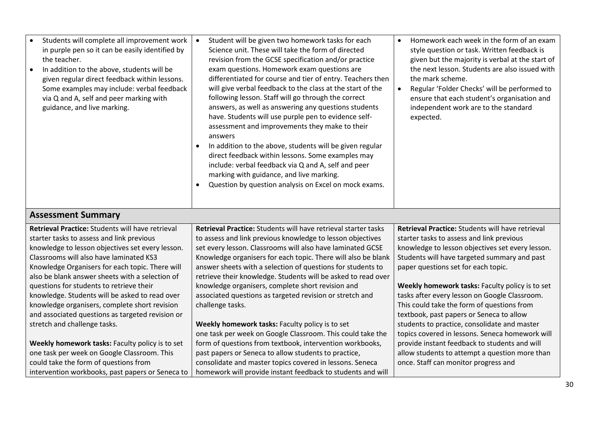| Students will complete all improvement work<br>in purple pen so it can be easily identified by<br>the teacher.<br>In addition to the above, students will be<br>given regular direct feedback within lessons.<br>Some examples may include: verbal feedback<br>via Q and A, self and peer marking with<br>guidance, and live marking. | Student will be given two homework tasks for each<br>Science unit. These will take the form of directed<br>revision from the GCSE specification and/or practice<br>exam questions. Homework exam questions are<br>differentiated for course and tier of entry. Teachers then<br>will give verbal feedback to the class at the start of the<br>following lesson. Staff will go through the correct<br>answers, as well as answering any questions students<br>have. Students will use purple pen to evidence self-<br>assessment and improvements they make to their<br>answers<br>In addition to the above, students will be given regular<br>direct feedback within lessons. Some examples may<br>include: verbal feedback via Q and A, self and peer<br>marking with guidance, and live marking.<br>Question by question analysis on Excel on mock exams. | Homework each week in the form of an exam<br>style question or task. Written feedback is<br>given but the majority is verbal at the start of<br>the next lesson. Students are also issued with<br>the mark scheme.<br>Regular 'Folder Checks' will be performed to<br>ensure that each student's organisation and<br>independent work are to the standard<br>expected. |  |  |  |
|---------------------------------------------------------------------------------------------------------------------------------------------------------------------------------------------------------------------------------------------------------------------------------------------------------------------------------------|-------------------------------------------------------------------------------------------------------------------------------------------------------------------------------------------------------------------------------------------------------------------------------------------------------------------------------------------------------------------------------------------------------------------------------------------------------------------------------------------------------------------------------------------------------------------------------------------------------------------------------------------------------------------------------------------------------------------------------------------------------------------------------------------------------------------------------------------------------------|------------------------------------------------------------------------------------------------------------------------------------------------------------------------------------------------------------------------------------------------------------------------------------------------------------------------------------------------------------------------|--|--|--|
| <b>Assessment Summary</b><br>المنفوذ والمستحيل والمستحدث والمستحدث والمستحدث والمنافرة والمنافرة والمنافرة والمتحدث<br>المنفوذ المستحيل والمستحيل والمستحيل المستحدث والمستحدث والمنافرة والمنافرة والمتحدث                                                                                                                           |                                                                                                                                                                                                                                                                                                                                                                                                                                                                                                                                                                                                                                                                                                                                                                                                                                                             |                                                                                                                                                                                                                                                                                                                                                                        |  |  |  |

| <b>Retrieval Practice:</b> Students will have retrieval | <b>Retrieval Practice:</b> Students will have retrieval starter tasks | <b>Retrieval Practice:</b> Students will have retrieval |
|---------------------------------------------------------|-----------------------------------------------------------------------|---------------------------------------------------------|
| starter tasks to assess and link previous               | to assess and link previous knowledge to lesson objectives            | starter tasks to assess and link previous               |
| knowledge to lesson objectives set every lesson.        | set every lesson. Classrooms will also have laminated GCSE            | knowledge to lesson objectives set every lesson.        |
| Classrooms will also have laminated KS3                 | Knowledge organisers for each topic. There will also be blank         | Students will have targeted summary and past            |
| Knowledge Organisers for each topic. There will         | answer sheets with a selection of questions for students to           | paper questions set for each topic.                     |
| also be blank answer sheets with a selection of         | retrieve their knowledge. Students will be asked to read over         |                                                         |
| questions for students to retrieve their                | knowledge organisers, complete short revision and                     | Weekly homework tasks: Faculty policy is to set         |
| knowledge. Students will be asked to read over          | associated questions as targeted revision or stretch and              | tasks after every lesson on Google Classroom.           |
| knowledge organisers, complete short revision           | challenge tasks.                                                      | This could take the form of questions from              |
| and associated questions as targeted revision or        |                                                                       | textbook, past papers or Seneca to allow                |
| stretch and challenge tasks.                            | Weekly homework tasks: Faculty policy is to set                       | students to practice, consolidate and master            |
|                                                         | one task per week on Google Classroom. This could take the            | topics covered in lessons. Seneca homework will         |
| Weekly homework tasks: Faculty policy is to set         | form of questions from textbook, intervention workbooks,              | provide instant feedback to students and will           |
| one task per week on Google Classroom. This             | past papers or Seneca to allow students to practice,                  | allow students to attempt a question more than          |
| could take the form of questions from                   | consolidate and master topics covered in lessons. Seneca              | once. Staff can monitor progress and                    |
| intervention workbooks, past papers or Seneca to        | homework will provide instant feedback to students and will           |                                                         |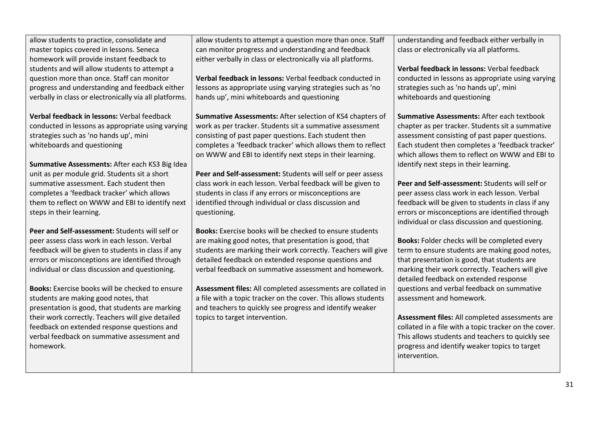allow students to practice, consolidate and master topics covered in lessons. Seneca homework will provide instant feedback to students and will allow students to attempt a question more than once. Staff can monitor progress and understanding and feedback either verbally in class or electronically via all platforms.

**Verbal feedback in lessons:** Verbal feedback conducted in lessons as appropriate using varying strategies such as 'no hands up', mini whiteboards and questioning

**Summative Assessments:** After each KS3 Big Idea unit as per module grid. Students sit a short summative assessment. Each student then completes a 'feedback tracker' which allows them to reflect on WWW and EBI to identify next steps in their learning.

**Peer and Self-assessment:** Students will self or peer assess class work in each lesson. Verbal feedback will be given to students in class if any errors or misconceptions are identified through individual or class discussion and questioning.

**Books:** Exercise books will be checked to ensure students are making good notes, that presentation is good, that students are marking their work correctly. Teachers will give detailed feedback on extended response questions and verbal feedback on summative assessment and homework.

allow students to attempt a question more than once. Staff can monitor progress and understanding and feedback either verbally in class or electronically via all platforms.

**Verbal feedback in lessons:** Verbal feedback conducted in lessons as appropriate using varying strategies such as 'no hands up', mini whiteboards and questioning

**Summative Assessments:** After selection of KS4 chapters of work as per tracker. Students sit a summative assessment consisting of past paper questions. Each student then completes a 'feedback tracker' which allows them to reflect on WWW and EBI to identify next steps in their learning.

**Peer and Self-assessment:** Students will self or peer assess class work in each lesson. Verbal feedback will be given to students in class if any errors or misconceptions are identified through individual or class discussion and questioning.

**Books:** Exercise books will be checked to ensure students are making good notes, that presentation is good, that students are marking their work correctly. Teachers will give detailed feedback on extended response questions and verbal feedback on summative assessment and homework.

**Assessment files:** All completed assessments are collated in a file with a topic tracker on the cover. This allows students and teachers to quickly see progress and identify weaker topics to target intervention.

understanding and feedback either verbally in class or electronically via all platforms.

**Verbal feedback in lessons:** Verbal feedback conducted in lessons as appropriate using varying strategies such as 'no hands up', mini whiteboards and questioning

**Summative Assessments:** After each textbook chapter as per tracker. Students sit a summative assessment consisting of past paper questions. Each student then completes a 'feedback tracker' which allows them to reflect on WWW and EBI to identify next steps in their learning.

**Peer and Self-assessment:** Students will self or peer assess class work in each lesson. Verbal feedback will be given to students in class if any errors or misconceptions are identified through individual or class discussion and questioning.

**Books:** Folder checks will be completed every term to ensure students are making good notes, that presentation is good, that students are marking their work correctly. Teachers will give detailed feedback on extended response questions and verbal feedback on summative assessment and homework.

**Assessment files:** All completed assessments are collated in a file with a topic tracker on the cover. This allows students and teachers to quickly see progress and identify weaker topics to target intervention.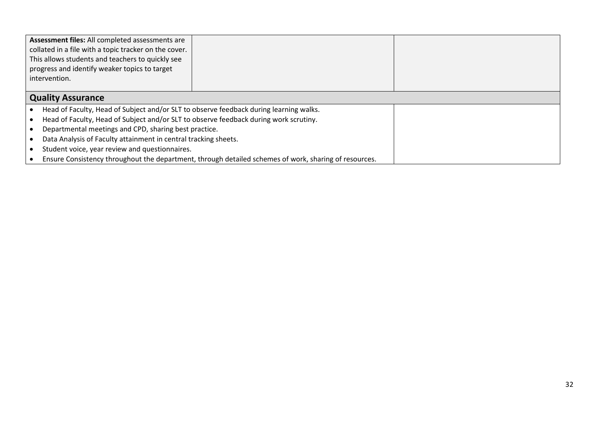| Assessment files: All completed assessments are<br>collated in a file with a topic tracker on the cover.<br>This allows students and teachers to quickly see<br>progress and identify weaker topics to target<br>intervention. |                                                                                        |  |  |  |  |
|--------------------------------------------------------------------------------------------------------------------------------------------------------------------------------------------------------------------------------|----------------------------------------------------------------------------------------|--|--|--|--|
| <b>Quality Assurance</b>                                                                                                                                                                                                       |                                                                                        |  |  |  |  |
|                                                                                                                                                                                                                                | Head of Faculty, Head of Subject and/or SLT to observe feedback during learning walks. |  |  |  |  |
|                                                                                                                                                                                                                                | Head of Faculty, Head of Subject and/or SLT to observe feedback during work scrutiny.  |  |  |  |  |
|                                                                                                                                                                                                                                | Departmental meetings and CPD, sharing best practice.                                  |  |  |  |  |
| Data Analysis of Faculty attainment in central tracking sheets.                                                                                                                                                                |                                                                                        |  |  |  |  |
| Student voice, year review and questionnaires.                                                                                                                                                                                 |                                                                                        |  |  |  |  |
| Ensure Consistency throughout the department, through detailed schemes of work, sharing of resources.                                                                                                                          |                                                                                        |  |  |  |  |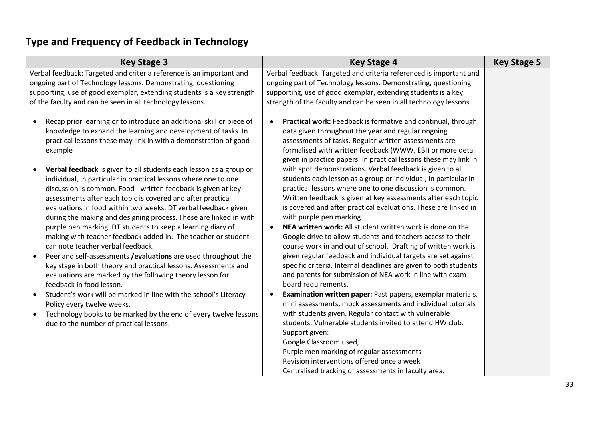# **Type and Frequency of Feedback in Technology**

| <b>Key Stage 3</b>                                                                                                                                                                                                                                                                                                                                                                                                                                                                                                                                                                                                                                                                                                                                                                                                            | <b>Key Stage 4</b>                                                                                                                                                                                                                                                                                                                                                                                                                                                                                                                                                                                                                                                                                                                                                            | <b>Key Stage 5</b> |
|-------------------------------------------------------------------------------------------------------------------------------------------------------------------------------------------------------------------------------------------------------------------------------------------------------------------------------------------------------------------------------------------------------------------------------------------------------------------------------------------------------------------------------------------------------------------------------------------------------------------------------------------------------------------------------------------------------------------------------------------------------------------------------------------------------------------------------|-------------------------------------------------------------------------------------------------------------------------------------------------------------------------------------------------------------------------------------------------------------------------------------------------------------------------------------------------------------------------------------------------------------------------------------------------------------------------------------------------------------------------------------------------------------------------------------------------------------------------------------------------------------------------------------------------------------------------------------------------------------------------------|--------------------|
| Verbal feedback: Targeted and criteria reference is an important and<br>ongoing part of Technology lessons. Demonstrating, questioning<br>supporting, use of good exemplar, extending students is a key strength<br>of the faculty and can be seen in all technology lessons.                                                                                                                                                                                                                                                                                                                                                                                                                                                                                                                                                 | Verbal feedback: Targeted and criteria referenced is important and<br>ongoing part of Technology lessons. Demonstrating, questioning<br>supporting, use of good exemplar, extending students is a key<br>strength of the faculty and can be seen in all technology lessons.                                                                                                                                                                                                                                                                                                                                                                                                                                                                                                   |                    |
| Recap prior learning or to introduce an additional skill or piece of<br>$\bullet$<br>knowledge to expand the learning and development of tasks. In<br>practical lessons these may link in with a demonstration of good<br>example                                                                                                                                                                                                                                                                                                                                                                                                                                                                                                                                                                                             | Practical work: Feedback is formative and continual, through<br>$\bullet$<br>data given throughout the year and regular ongoing<br>assessments of tasks. Regular written assessments are<br>formalised with written feedback (WWW, EBI) or more detail<br>given in practice papers. In practical lessons these may link in                                                                                                                                                                                                                                                                                                                                                                                                                                                    |                    |
| Verbal feedback is given to all students each lesson as a group or<br>$\bullet$<br>individual, in particular in practical lessons where one to one<br>discussion is common. Food - written feedback is given at key<br>assessments after each topic is covered and after practical<br>evaluations in food within two weeks. DT verbal feedback given<br>during the making and designing process. These are linked in with<br>purple pen marking. DT students to keep a learning diary of<br>making with teacher feedback added in. The teacher or student<br>can note teacher verbal feedback.<br>Peer and self-assessments / evaluations are used throughout the<br>key stage in both theory and practical lessons. Assessments and<br>evaluations are marked by the following theory lesson for<br>feedback in food lesson. | with spot demonstrations. Verbal feedback is given to all<br>students each lesson as a group or individual, in particular in<br>practical lessons where one to one discussion is common.<br>Written feedback is given at key assessments after each topic<br>is covered and after practical evaluations. These are linked in<br>with purple pen marking.<br>NEA written work: All student written work is done on the<br>Google drive to allow students and teachers access to their<br>course work in and out of school. Drafting of written work is<br>given regular feedback and individual targets are set against<br>specific criteria. Internal deadlines are given to both students<br>and parents for submission of NEA work in line with exam<br>board requirements. |                    |
| Student's work will be marked in line with the school's Literacy<br>Policy every twelve weeks.<br>Technology books to be marked by the end of every twelve lessons<br>$\bullet$<br>due to the number of practical lessons.                                                                                                                                                                                                                                                                                                                                                                                                                                                                                                                                                                                                    | Examination written paper: Past papers, exemplar materials,<br>mini assessments, mock assessments and individual tutorials<br>with students given. Regular contact with vulnerable<br>students. Vulnerable students invited to attend HW club.<br>Support given:<br>Google Classroom used,<br>Purple men marking of regular assessments<br>Revision interventions offered once a week<br>Centralised tracking of assessments in faculty area.                                                                                                                                                                                                                                                                                                                                 |                    |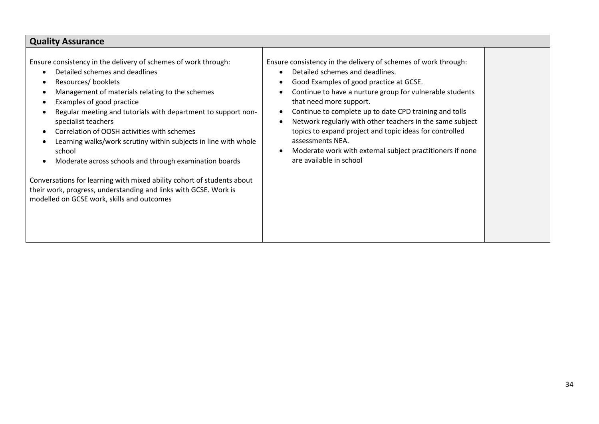| <b>Quality Assurance</b>                                                                                                                                                                                                                                                                                                                                                                                                                                                                                                                                                                                                                                                          |                                                                                                                                                                                                                                                                                                                                                                                                                                                                                                                                                                                       |  |  |  |
|-----------------------------------------------------------------------------------------------------------------------------------------------------------------------------------------------------------------------------------------------------------------------------------------------------------------------------------------------------------------------------------------------------------------------------------------------------------------------------------------------------------------------------------------------------------------------------------------------------------------------------------------------------------------------------------|---------------------------------------------------------------------------------------------------------------------------------------------------------------------------------------------------------------------------------------------------------------------------------------------------------------------------------------------------------------------------------------------------------------------------------------------------------------------------------------------------------------------------------------------------------------------------------------|--|--|--|
| Ensure consistency in the delivery of schemes of work through:<br>Detailed schemes and deadlines<br>Resources/ booklets<br>Management of materials relating to the schemes<br>Examples of good practice<br>Regular meeting and tutorials with department to support non-<br>specialist teachers<br>Correlation of OOSH activities with schemes<br>Learning walks/work scrutiny within subjects in line with whole<br>school<br>Moderate across schools and through examination boards<br>Conversations for learning with mixed ability cohort of students about<br>their work, progress, understanding and links with GCSE. Work is<br>modelled on GCSE work, skills and outcomes | Ensure consistency in the delivery of schemes of work through:<br>Detailed schemes and deadlines.<br>$\bullet$<br>Good Examples of good practice at GCSE.<br>$\bullet$<br>Continue to have a nurture group for vulnerable students<br>that need more support.<br>Continue to complete up to date CPD training and tolls<br>$\bullet$<br>Network regularly with other teachers in the same subject<br>topics to expand project and topic ideas for controlled<br>assessments NEA.<br>Moderate work with external subject practitioners if none<br>$\bullet$<br>are available in school |  |  |  |